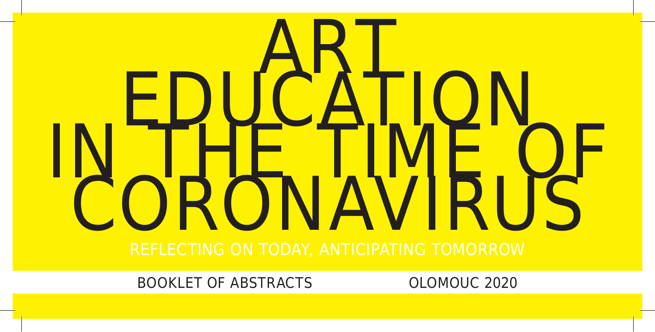# EDUCATION<br>IN THE TIME OF

BOOKLET OF ABSTRACTS OLOMOUC 2020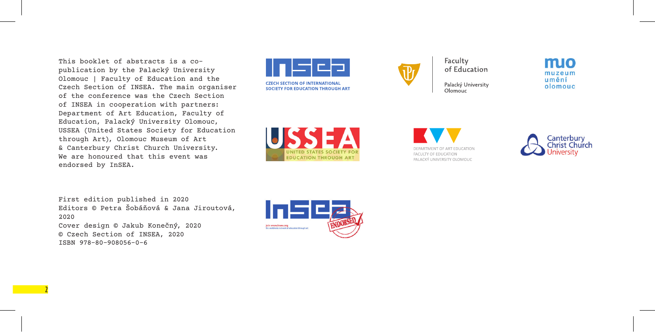This booklet of abstracts is a copublication by the Palacký University Olomouc | Faculty of Education and the Czech Section of INSEA. The main organiser of the conference was the Czech Section of INSEA in cooperation with partners: Department of Art Education, Faculty of Education, Palacký University Olomouc, USSEA (United States Society for Education through Art), Olomouc Museum of Art & Canterbury Christ Church University. We are honoured that this event was endorsed by InSEA.





Faculty of Education

Palacký University Olomouc

mio muzeum umění olomouc

INITED STATES SOCIETY FOI **EDUCATION THROUGH ART** 

DEPARTMENT OF ART EDUCATION FACULTY OF EDUCATION PALACKÝ UNIVERSITY OLOMOUC



First edition published in 2020 Editors © Petra Šobáňová & Jana Jiroutová, 2020 Cover design © Jakub Konečný, 2020 © Czech Section of INSEA, 2020 ISBN 978-80-908056-0-6

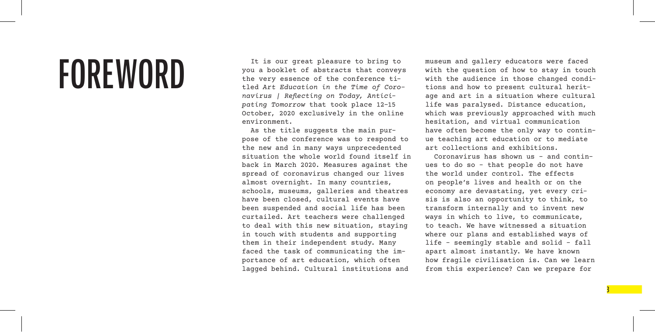**FOREWORD** It is our great pleasure to bring to  $\frac{1}{2}$  the very essence of the conference tiyou a booklet of abstracts that conveys the very essence of the conference titled *Art Education in the Time of Coronavirus | Reflecting on Today, Anticipating Tomorrow* that took place 12–15 October, 2020 exclusively in the online environment.

> As the title suggests the main purpose of the conference was to respond to the new and in many ways unprecedented situation the whole world found itself in back in March 2020. Measures against the spread of coronavirus changed our lives almost overnight. In many countries, schools, museums, galleries and theatres have been closed, cultural events have been suspended and social life has been curtailed. Art teachers were challenged to deal with this new situation, staying in touch with students and supporting them in their independent study. Many faced the task of communicating the importance of art education, which often lagged behind. Cultural institutions and

museum and gallery educators were faced with the question of how to stay in touch with the audience in those changed conditions and how to present cultural heritage and art in a situation where cultural life was paralysed. Distance education, which was previously approached with much hesitation, and virtual communication have often become the only way to continue teaching art education or to mediate art collections and exhibitions.

Coronavirus has shown us – and continues to do so – that people do not have the world under control. The effects on people's lives and health or on the economy are devastating, yet every crisis is also an opportunity to think, to transform internally and to invent new ways in which to live, to communicate, to teach. We have witnessed a situation where our plans and established ways of life – seemingly stable and solid – fall apart almost instantly. We have known how fragile civilisation is. Can we learn from this experience? Can we prepare for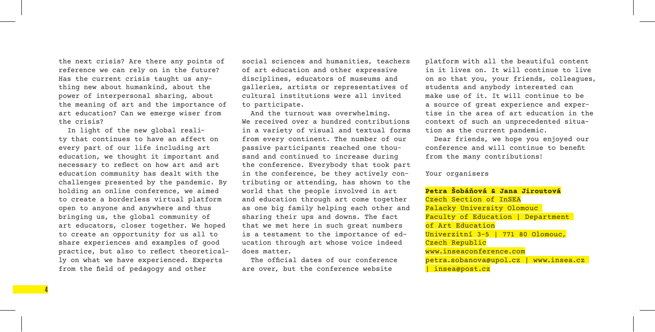the next crisis? Are there any points of reference we can rely on in the future? Has the current crisis taught us anything new about humankind, about the power of interpersonal sharing, about the meaning of art and the importance of art education? Can we emerge wiser from the crisis?

In light of the new global reality that continues to have an affect on every part of our life including art education, we thought it important and necessary to reflect on how art and art education community has dealt with the challenges presented by the pandemic. By holding an online conference, we aimed to create a borderless virtual platform open to anyone and anywhere and thus bringing us, the global community of art educators, closer together. We hoped to create an opportunity for us all to share experiences and examples of good practice, but also to reflect theoretically on what we have experienced. Experts from the field of pedagogy and other

**4** 

social sciences and humanities, teachers of art education and other expressive disciplines, educators of museums and galleries, artists or representatives of cultural institutions were all invited to participate.

And the turnout was overwhelming. We received over a hundred contributions in a variety of visual and textual forms from every continent. The number of our passive participants reached one thousand and continued to increase during the conference. Everybody that took part in the conference, be they actively contributing or attending, has shown to the world that the people involved in art and education through art come together as one big family helping each other and sharing their ups and downs. The fact that we met here in such great numbers is a testament to the importance of education through art whose voice indeed does matter.

The official dates of our conference are over, but the conference website

platform with all the beautiful content in it lives on. It will continue to live on so that you, your friends, colleagues, students and anybody interested can make use of it. It will continue to be a source of great experience and expertise in the area of art education in the context of such an unprecedented situation as the current pandemic.

Dear friends, we hope you enjoyed our conference and will continue to benefit from the many contributions!

#### Your organisers

**Petra Šobáňová & Jana Jiroutová** Czech Section of InSEA Palacky University Olomouc Faculty of Education | Department of Art Education Univerzitní 3–5 | 771 80 Olomouc, Czech Republic www.inseaconference.com petra.sobanova@upol.cz | www.insea.cz | insea@post.cz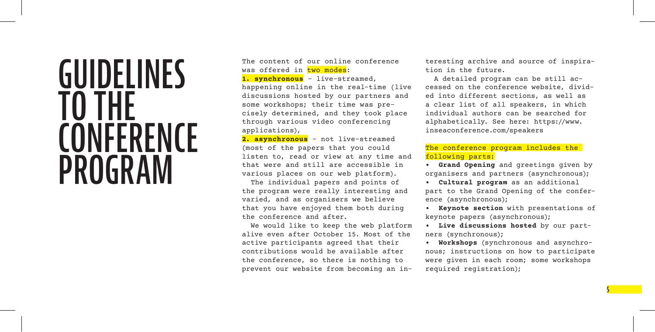## **GUIDELINES TO THE CONFERENCE PROGRAM**

The content of our online conference was offered in two modes:

**1. synchronous** – live-streamed, happening online in the real-time (live discussions hosted by our partners and some workshops; their time was precisely determined, and they took place through various video conferencing applications),

**2. asynchronous** – not live-streamed (most of the papers that you could listen to, read or view at any time and that were and still are accessible in various places on our web platform).

The individual papers and points of the program were really interesting and varied, and as organisers we believe that you have enjoyed them both during the conference and after.

We would like to keep the web platform alive even after October 15. Most of the active participants agreed that their contributions would be available after the conference, so there is nothing to prevent our website from becoming an interesting archive and source of inspiration in the future.

A detailed program can be still accessed on the conference website, divided into different sections, as well as a clear list of all speakers, in which individual authors can be searched for alphabetically. See here: https://www. inseaconference.com/speakers

#### The conference program includes the following parts:

**• Grand Opening** and greetings given by organisers and partners (asynchronous);

**• Cultural program** as an additional part to the Grand Opening of the conference (asynchronous);

**• Keynote section** with presentations of keynote papers (asynchronous);

**• Live discussions hosted** by our partners (synchronous);

**• Workshops** (synchronous and asynchronous; instructions on how to participate were given in each room; some workshops required registration);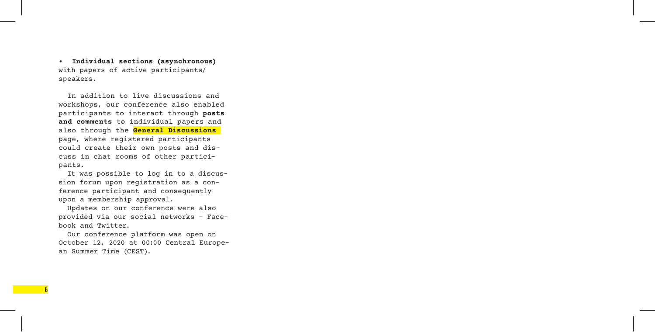**• Individual sections (asynchronous)** with papers of active participants/ speakers.

In addition to live discussions and workshops, our conference also enabled participants to interact through **posts and comments** to individual papers and also through the **General Discussions** page, where registered participants could create their own posts and discuss in chat rooms of other participants.

It was possible to log in to a discussion forum upon registration as a conference participant and consequently upon a membership approval.

Updates on our conference were also provided via our social networks - Facebook and Twitter.

Our conference platform was open on October 12, 2020 at 00:00 Central European Summer Time (CEST).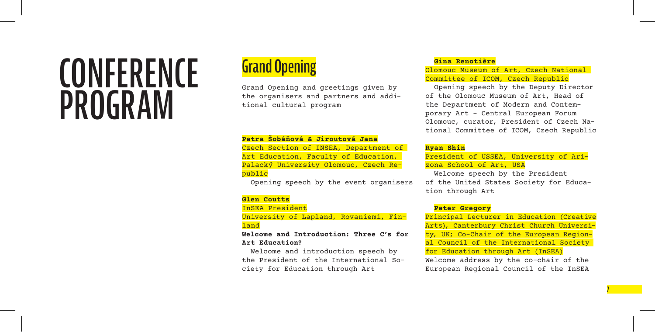# **CONFERENCE PROGRAM**

## **Grand Opening**

Grand Opening and greetings given by the organisers and partners and additional cultural program

#### **Petra Šobáňová & Jiroutová Jana**

Czech Section of INSEA, Department of Art Education, Faculty of Education, Palacký University Olomouc, Czech Republic

Opening speech by the event organisers

#### **Glen Coutts**

InSEA President

University of Lapland, Rovaniemi, Finland

#### **Welcome and Introduction: Three C's for Art Education?**

Welcome and introduction speech by the President of the International Society for Education through Art

#### **Gina Renotière**

Olomouc Museum of Art, Czech National Committee of ICOM, Czech Republic

Opening speech by the Deputy Director of the Olomouc Museum of Art, Head of the Department of Modern and Contemporary Art – Central European Forum Olomouc, curator, President of Czech National Committee of ICOM, Czech Republic

#### **Ryan Shin**

President of USSEA, University of Arizona School of Art, USA

Welcome speech by the President of the United States Society for Education through Art

#### **Peter Gregory**

Principal Lecturer in Education (Creative Arts), Canterbury Christ Church University, UK; Co-Chair of the European Regional Council of the International Society for Education through Art (InSEA)

Welcome address by the co-chair of the European Regional Council of the InSEA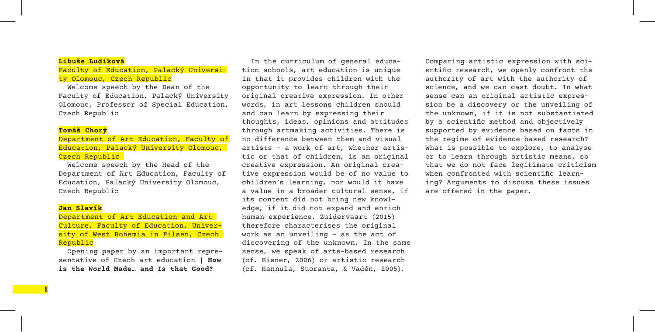#### **Libuše Ludíková**

#### Faculty of Education, Palacký University Olomouc, Czech Republic

Welcome speech by the Dean of the Faculty of Education, Palacký University Olomouc, Professor of Special Education, Czech Republic

#### **Tomáš Chorý**

#### Department of Art Education, Faculty of Education, Palacký University Olomouc, Czech Republic

Welcome speech by the Head of the Department of Art Education, Faculty of Education, Palacký University Olomouc, Czech Republic

#### **Jan Slavík**

**8** 

Department of Art Education and Art Culture, Faculty of Education, University of West Bohemia in Pilsen, Czech Republic

Opening paper by an important representative of Czech art education | **How is the World Made… and Is that Good?**

In the curriculum of general education schools, art education is unique in that it provides children with the opportunity to learn through their original creative expression. In other words, in art lessons children should and can learn by expressing their thoughts, ideas, opinions and attitudes through artmaking activities. There is no difference between them and visual artists – a work of art, whether artistic or that of children, is an original creative expression. An original creative expression would be of no value to children's learning, nor would it have a value in a broader cultural sense, if its content did not bring new knowledge, if it did not expand and enrich human experience. Zuidervaart (2015) therefore characterises the original work as an unveiling – as the act of discovering of the unknown. In the same sense, we speak of arts-based research (cf. Eisner, 2006) or artistic research (cf. Hannula, Suoranta, & Vadén, 2005).

Comparing artistic expression with scientific research, we openly confront the authority of art with the authority of science, and we can cast doubt. In what sense can an original artistic expression be a discovery or the unveiling of the unknown, if it is not substantiated by a scientific method and objectively supported by evidence based on facts in the regime of evidence-based research? What is possible to explore, to analyse or to learn through artistic means, so that we do not face legitimate criticism when confronted with scientific learning? Arguments to discuss these issues are offered in the paper.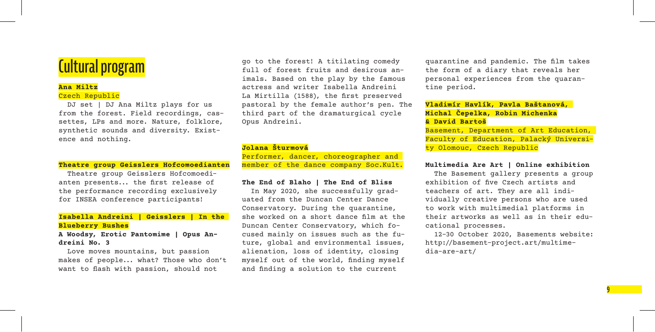#### **Ana Miltz** Czech Republic

DJ set | DJ Ana Miltz plays for us from the forest. Field recordings, cassettes, LPs and more. Nature, folklore, synthetic sounds and diversity. Existence and nothing.

#### **Theatre group Geisslers Hofcomoedianten**

Theatre group Geisslers Hofcomoedianten presents... the first release of the performance recording exclusively for INSEA conference participants!

#### **Isabella Andreini | Geisslers | In the Blueberry Bushes**

#### **A Woodsy, Erotic Pantomime | Opus Andreini No. 3**

Love moves mountains, but passion makes of people... what? Those who don't want to flash with passion, should not

**Cultural program** go to the forest! A titilating comedy go to the forest! A titilating comedy full of forest fruits and desirous animals. Based on the play by the famous actress and writer Isabella Andreini La Mirtilla (1588), the first preserved pastoral by the female author's pen. The third part of the dramaturgical cycle Opus Andreini.

#### **Jolana Šturmová**

Performer, dancer, choreographer and member of the dance company Soc.Kult.

#### **The End of Blaho | The End of Bliss**

In May 2020, she successfully graduated from the Duncan Center Dance Conservatory. During the quarantine, she worked on a short dance film at the Duncan Center Conservatory, which focused mainly on issues such as the future, global and environmental issues, alienation, loss of identity, closing myself out of the world, finding myself and finding a solution to the current

quarantine and pandemic. The film takes the form of a diary that reveals her personal experiences from the quarantine period.

#### **Vladimír Havlík, Pavla Baštanová, Michal Čepelka, Robin Michenka & David Bartoš**

Basement, Department of Art Education, Faculty of Education, Palacký University Olomouc, Czech Republic

#### **Multimedia Are Art | Online exhibition**

The Basement gallery presents a group exhibition of five Czech artists and teachers of art. They are all individually creative persons who are used to work with multimedial platforms in their artworks as well as in their educational processes.

12–30 October 2020, Basements website: http://basement-project.art/multimedia-are-art/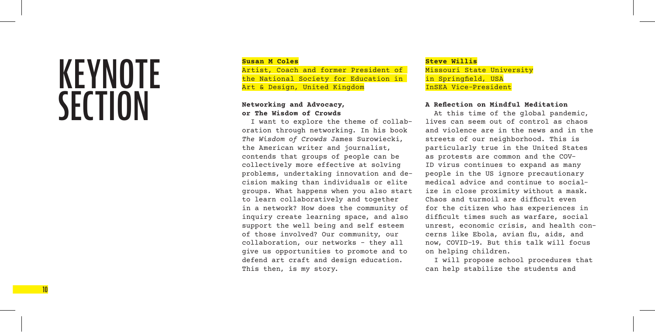# **KEYNOTE SECTION**

#### **Susan M Coles**

Artist, Coach and former President of the National Society for Education in Art & Design, United Kingdom

#### **Networking and Advocacy, or The Wisdom of Crowds**

I want to explore the theme of collaboration through networking. In his book *The Wisdom of Crowds* James Surowiecki, the American writer and journalist, contends that groups of people can be collectively more effective at solving problems, undertaking innovation and decision making than individuals or elite groups. What happens when you also start to learn collaboratively and together in a network? How does the community of inquiry create learning space, and also support the well being and self esteem of those involved? Our community, our collaboration, our networks – they all give us opportunities to promote and to defend art craft and design education. This then, is my story.

#### **Steve Willis** Missouri State University in Springfield, USA InSEA Vice-President

#### **A Reflection on Mindful Meditation**

At this time of the global pandemic, lives can seem out of control as chaos and violence are in the news and in the streets of our neighborhood. This is particularly true in the United States as protests are common and the COV-ID virus continues to expand as many people in the US ignore precautionary medical advice and continue to socialize in close proximity without a mask. Chaos and turmoil are difficult even for the citizen who has experiences in difficult times such as warfare, social unrest, economic crisis, and health concerns like Ebola, avian flu, aids, and now, COVID-19. But this talk will focus on helping children.

I will propose school procedures that can help stabilize the students and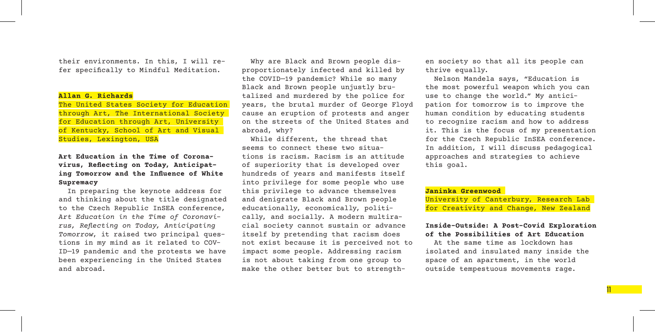their environments. In this, I will refer specifically to Mindful Meditation.

#### **Allan G. Richards**

The United States Society for Education through Art, The International Society for Education through Art, University of Kentucky, School of Art and Visual Studies, Lexington, USA

#### **Art Education in the Time of Coronavirus, Reflecting on Today, Anticipating Tomorrow and the Influence of White Supremacy**

In preparing the keynote address for and thinking about the title designated to the Czech Republic InSEA conference, *Art Education in the Time of Coronavirus, Reflecting on Today, Anticipating Tomorrow*, it raised two principal questions in my mind as it related to COV-ID—19 pandemic and the protests we have been experiencing in the United States and abroad.

Why are Black and Brown people disproportionately infected and killed by the COVID—19 pandemic? While so many Black and Brown people unjustly brutalized and murdered by the police for years, the brutal murder of George Floyd cause an eruption of protests and anger on the streets of the United States and abroad, why?

While different, the thread that seems to connect these two situations is racism. Racism is an attitude of superiority that is developed over hundreds of years and manifests itself into privilege for some people who use this privilege to advance themselves and denigrate Black and Brown people educationally, economically, politically, and socially. A modern multiracial society cannot sustain or advance itself by pretending that racism does not exist because it is perceived not to impact some people. Addressing racism is not about taking from one group to make the other better but to strengthen society so that all its people can thrive equally.

Nelson Mandela says, "Education is the most powerful weapon which you can use to change the world." My anticipation for tomorrow is to improve the human condition by educating students to recognize racism and how to address it. This is the focus of my presentation for the Czech Republic InSEA conference. In addition, I will discuss pedagogical approaches and strategies to achieve this goal.

#### **Janinka Greenwood**

University of Canterbury, Research Lab for Creativity and Change, New Zealand

#### **Inside-Outside: A Post-Covid Exploration of the Possibilities of Art Education**

At the same time as lockdown has isolated and insulated many inside the space of an apartment, in the world outside tempestuous movements rage.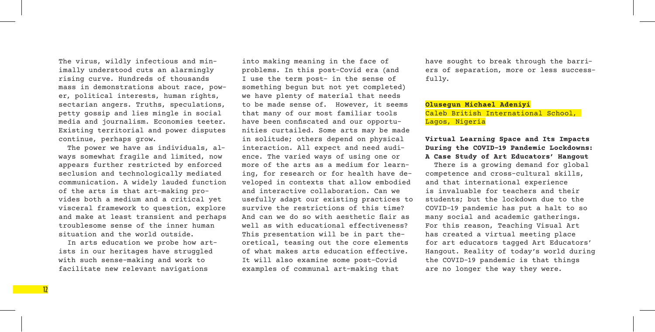The virus, wildly infectious and minimally understood cuts an alarmingly rising curve. Hundreds of thousands mass in demonstrations about race, power, political interests, human rights, sectarian angers. Truths, speculations, petty gossip and lies mingle in social media and journalism. Economies teeter. Existing territorial and power disputes continue, perhaps grow.

The power we have as individuals, always somewhat fragile and limited, now appears further restricted by enforced seclusion and technologically mediated communication. A widely lauded function of the arts is that art-making provides both a medium and a critical yet visceral framework to question, explore and make at least transient and perhaps troublesome sense of the inner human situation and the world outside.

In arts education we probe how artists in our heritages have struggled with such sense-making and work to facilitate new relevant navigations

into making meaning in the face of problems. In this post-Covid era (and I use the term post- in the sense of something begun but not yet completed) we have plenty of material that needs to be made sense of. However, it seems that many of our most familiar tools have been confiscated and our opportunities curtailed. Some arts may be made in solitude; others depend on physical interaction. All expect and need audience. The varied ways of using one or more of the arts as a medium for learning, for research or for health have developed in contexts that allow embodied and interactive collaboration. Can we usefully adapt our existing practices to survive the restrictions of this time? And can we do so with aesthetic flair as well as with educational effectiveness? This presentation will be in part theoretical, teasing out the core elements of what makes arts education effective. It will also examine some post-Covid examples of communal art-making that

have sought to break through the barriers of separation, more or less successfully.

#### **Olusegun Michael Adeniyi** Caleb British International School, Lagos, Nigeria

#### **Virtual Learning Space and Its Impacts During the COVID-19 Pandemic Lockdowns: A Case Study of Art Educators' Hangout**

There is a growing demand for global competence and cross-cultural skills, and that international experience is invaluable for teachers and their students; but the lockdown due to the COVID-19 pandemic has put a halt to so many social and academic gatherings. For this reason, Teaching Visual Art has created a virtual meeting place for art educators tagged Art Educators' Hangout. Reality of today's world during the COVID-19 pandemic is that things are no longer the way they were.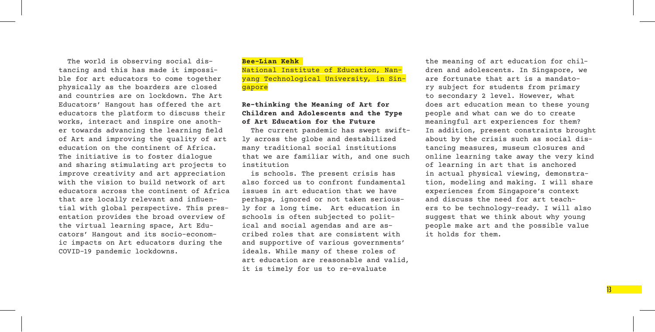The world is observing social distancing and this has made it impossible for art educators to come together physically as the boarders are closed and countries are on lockdown. The Art Educators' Hangout has offered the art educators the platform to discuss their works, interact and inspire one another towards advancing the learning field of Art and improving the quality of art education on the continent of Africa. The initiative is to foster dialogue and sharing stimulating art projects to improve creativity and art appreciation with the vision to build network of art educators across the continent of Africa that are locally relevant and influential with global perspective. This presentation provides the broad overview of the virtual learning space, Art Educators' Hangout and its socio-economic impacts on Art educators during the COVID-19 pandemic lockdowns.

#### **Bee-Lian Kehk**

National Institute of Education, Nanyang Technological University, in Singapore

#### **Re-thinking the Meaning of Art for Children and Adolescents and the Type of Art Education for the Future**

The current pandemic has swept swiftly across the globe and destabilized many traditional social institutions that we are familiar with, and one such institution

is schools. The present crisis has also forced us to confront fundamental issues in art education that we have perhaps, ignored or not taken seriously for a long time. Art education in schools is often subjected to political and social agendas and are ascribed roles that are consistent with and supportive of various governments' ideals. While many of these roles of art education are reasonable and valid, it is timely for us to re-evaluate

the meaning of art education for children and adolescents. In Singapore, we are fortunate that art is a mandatory subject for students from primary to secondary 2 level. However, what does art education mean to these young people and what can we do to create meaningful art experiences for them? In addition, present constraints brought about by the crisis such as social distancing measures, museum closures and online learning take away the very kind of learning in art that is anchored in actual physical viewing, demonstration, modeling and making. I will share experiences from Singapore's context and discuss the need for art teachers to be technology-ready. I will also suggest that we think about why young people make art and the possible value it holds for them.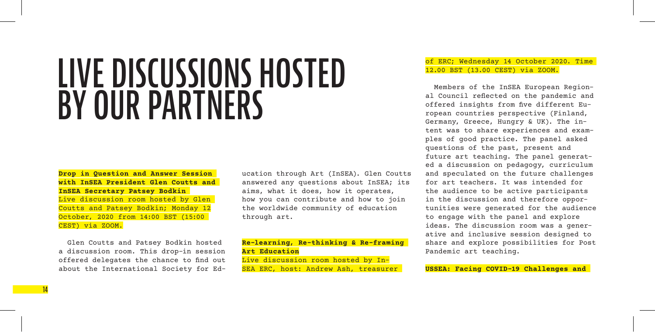# **LIVE DISCUSSIONS HOSTED BY OUR PARTNERS**

**Drop in Question and Answer Session with InSEA President Glen Coutts and InSEA Secretary Patsey Bodkin**  Live discussion room hosted by Glen Coutts and Patsey Bodkin; Monday 12 October, 2020 from 14:00 BST (15:00 CEST) via ZOOM.

Glen Coutts and Patsey Bodkin hosted a discussion room. This drop-in session offered delegates the chance to find out about the International Society for Education through Art (InSEA). Glen Coutts answered any questions about InSEA; its aims, what it does, how it operates, how you can contribute and how to join the worldwide community of education through art.

#### **Re-learning, Re-thinking & Re-framing Art Education** Live discussion room hosted by In-

SEA ERC, host: Andrew Ash, treasurer

#### of ERC; Wednesday 14 October 2020. Time 12.00 BST (13.00 CEST) via ZOOM.

Members of the InSEA European Regional Council reflected on the pandemic and offered insights from five different European countries perspective (Finland, Germany, Greece, Hungry & UK). The intent was to share experiences and examples of good practice. The panel asked questions of the past, present and future art teaching. The panel generated a discussion on pedagogy, curriculum and speculated on the future challenges for art teachers. It was intended for the audience to be active participants in the discussion and therefore opportunities were generated for the audience to engage with the panel and explore ideas. The discussion room was a generative and inclusive session designed to share and explore possibilities for Post Pandemic art teaching.

**USSEA: Facing COVID-19 Challenges and**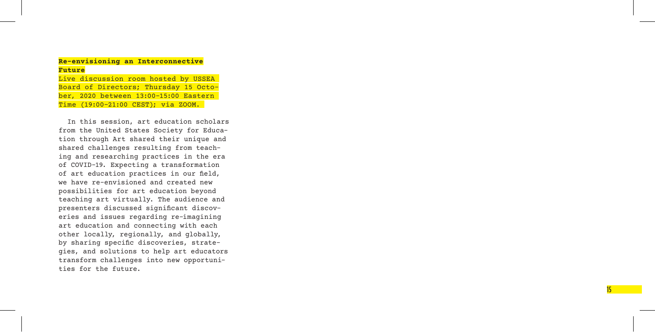#### **Re-envisioning an Interconnective Future**

Live discussion room hosted by USSEA Board of Directors; Thursday 15 Octo ber, 2020 between 13:00–15:00 Eastern Time (19:00–21:00 CEST); via ZOOM.

In this session, art education scholars from the United States Society for Educa tion through Art shared their unique and shared challenges resulting from teach ing and researching practices in the era of COVID-19. Expecting a transformation of art education practices in our field, we have re-envisioned and created new possibilities for art education beyond teaching art virtually. The audience and presenters discussed significant discov eries and issues regarding re-imagining art education and connecting with each other locally, regionally, and globally, by sharing specific discoveries, strate gies, and solutions to help art educators transform challenges into new opportuni ties for the future.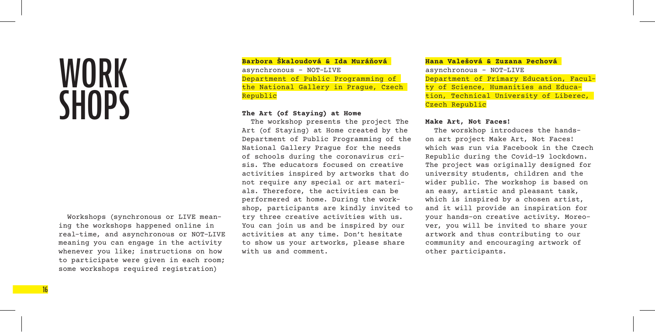# **WORK SHOPS**

Workshops (synchronous or LIVE meaning the workshops happened online in real-time, and asynchronous or NOT-LIVE meaning you can engage in the activity whenever you like; instructions on how to participate were given in each room; some workshops required registration)

**Barbora Škaloudová & Ida Muráňová**  asynchronous – NOT-LIVE Department of Public Programming of the National Gallery in Prague, Czech Republic

#### **The Art (of Staying) at Home**

The workshop presents the project The Art (of Staying) at Home created by the Department of Public Programming of the National Gallery Prague for the needs of schools during the coronavirus crisis. The educators focused on creative activities inspired by artworks that do not require any special or art materials. Therefore, the activities can be performered at home. During the workshop, participants are kindly invited to try three creative activities with us. You can join us and be inspired by our activities at any time. Don't hesitate to show us your artworks, please share with us and comment.

**Hana Valešová & Zuzana Pechová**  asynchronous – NOT-LIVE Department of Primary Education, Faculty of Science, Humanities and Education, Technical University of Liberec, Czech Republic

#### **Make Art, Not Faces!**

The worskhop introduces the handson art project Make Art, Not Faces! which was run via Facebook in the Czech Republic during the Covid-19 lockdown. The project was originally designed for university students, children and the wider public. The workshop is based on an easy, artistic and pleasant task, which is inspired by a chosen artist, and it will provide an inspiration for your hands-on creative activity. Moreover, you will be invited to share your artwork and thus contributing to our community and encouraging artwork of other participants.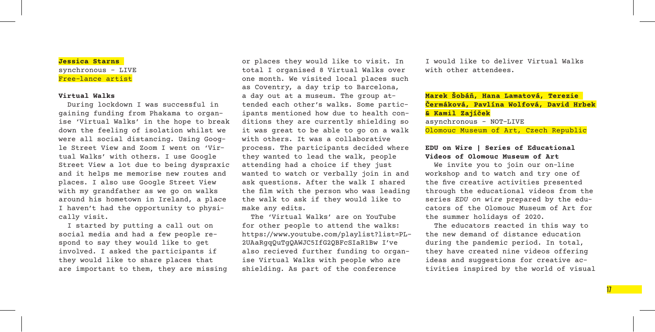#### **Jessica Starns**  synchronous – LIVE Free-lance artist

#### **Virtual Walks**

During lockdown I was successful in gaining funding from Phakama to organise 'Virtual Walks' in the hope to break down the feeling of isolation whilst we were all social distancing. Using Google Street View and Zoom I went on 'Virtual Walks' with others. I use Google Street View a lot due to being dyspraxic and it helps me memorise new routes and places. I also use Google Street View with my grandfather as we go on walks around his hometown in Ireland, a place I haven't had the opportunity to physically visit.

I started by putting a call out on social media and had a few people respond to say they would like to get involved. I asked the participants if they would like to share places that are important to them, they are missing or places they would like to visit. In total I organised 8 Virtual Walks over one month. We visited local places such as Coventry, a day trip to Barcelona, a day out at a museum. The group attended each other's walks. Some participants mentioned how due to health conditions they are currently shielding so it was great to be able to go on a walk with others. It was a collaborative process. The participants decided where they wanted to lead the walk, people attending had a choice if they just wanted to watch or verbally join in and ask questions. After the walk I shared the film with the person who was leading the walk to ask if they would like to make any edits.

The 'Virtual Walks' are on YouTube for other people to attend the walks: https://www.youtube.com/playlist?list=PL-2UAaRgqQuTgQAWJC5IfG2QBFcSIaR1Bw I've also recieved further funding to organise Virtual Walks with people who are shielding. As part of the conference

I would like to deliver Virtual Walks with other attendees.

**Marek Šobáň, Hana Lamatová, Terezie Čermáková, Pavlína Wolfová, David Hrbek & Kamil Zajíček** asynchronous – NOT-LIVE Olomouc Museum of Art, Czech Republic

#### **EDU on Wire | Series of Educational Videos of Olomouc Museum of Art**

We invite you to join our on-line workshop and to watch and try one of the five creative activities presented through the educational videos from the series *EDU on wire* prepared by the educators of the Olomouc Museum of Art for the summer holidays of 2020.

The educators reacted in this way to the new demand of distance education during the pandemic period. In total, they have created nine videos offering ideas and suggestions for creative activities inspired by the world of visual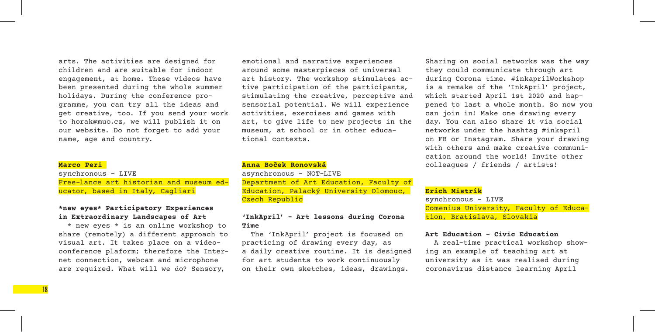arts. The activities are designed for children and are suitable for indoor engagement, at home. These videos have been presented during the whole summer holidays. During the conference programme, you can try all the ideas and get creative, too. If you send your work to horak@muo.cz, we will publish it on our website. Do not forget to add your name, age and country.

#### **Marco Peri**

synchronous – LIVE Free-lance art historian and museum educator, based in Italy, Cagliari

#### **\*new eyes\* Participatory Experiences in Extraordinary Landscapes of Art**

\* new eyes \* is an online workshop to share (remotely) a different approach to visual art. It takes place on a videoconference plaform; therefore the Internet connection, webcam and microphone are required. What will we do? Sensory,

emotional and narrative experiences around some masterpieces of universal art history. The workshop stimulates active participation of the participants, stimulating the creative, perceptive and sensorial potential. We will experience activities, exercises and games with art, to give life to new projects in the museum, at school or in other educational contexts.

#### **Anna Boček Ronovská**

asynchronous – NOT-LIVE Department of Art Education, Faculty of Education, Palacký University Olomouc, Czech Republic

#### **'InkApril' – Art lessons during Corona Time**

The 'InkApril' project is focused on practicing of drawing every day, as a daily creative routine. It is designed for art students to work continuously on their own sketches, ideas, drawings.

Sharing on social networks was the way they could communicate through art during Corona time. #inkaprilWorkshop is a remake of the 'InkApril' project, which started April 1st 2020 and happened to last a whole month. So now you can join in! Make one drawing every day. You can also share it via social networks under the hashtag #inkapril on FB or Instagram. Share your drawing with others and make creative communication around the world! Invite other colleagues / friends / artists!

#### **Erich Mistrík**

synchronous – LIVE Comenius University, Faculty of Education, Bratislava, Slovakia

#### **Art Education – Civic Education**

A real-time practical workshop showing an example of teaching art at university as it was realised during coronavirus distance learning April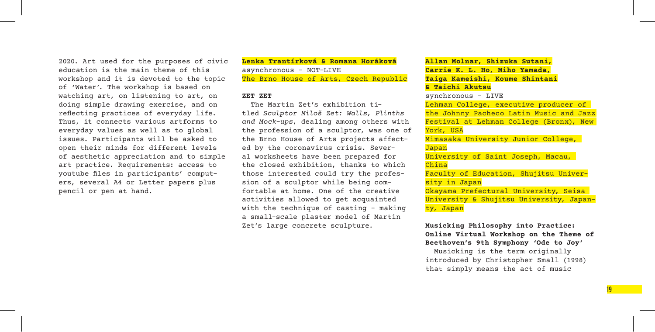2020. Art used for the purposes of civic education is the main theme of this workshop and it is devoted to the topic of 'Water'. The workshop is based on watching art, on listening to art, on doing simple drawing exercise, and on reflecting practices of everyday life. Thus, it connects various artforms to everyday values as well as to global issues. Participants will be asked to open their minds for different levels of aesthetic appreciation and to simple art practice. Requirements: access to youtube files in participants' computers, several A4 or Letter papers plus pencil or pen at hand.

**Lenka Trantírková & Romana Horáková** asynchronous – NOT-LIVE The Brno House of Arts, Czech Republic

#### **ZET ZET**

The Martin Zet's exhibition titled *Sculptor Miloš Zet: Walls, Plinths and Mock-ups*, dealing among others with the profession of a sculptor, was one of the Brno House of Arts projects affected by the coronavirus crisis. Several worksheets have been prepared for the closed exhibition, thanks to which those interested could try the profession of a sculptor while being comfortable at home. One of the creative activities allowed to get acquainted with the technique of casting – making a small-scale plaster model of Martin Zet's large concrete sculpture.

**Allan Molnar, Shizuka Sutani, Carrie K. L. Ho, Miho Yamada, Taiga Kameishi, Koume Shintani & Taichi Akutsu**

synchronous – LIVE Lehman College, executive producer of the Johnny Pacheco Latin Music and Jazz Festival at Lehman College (Bronx), New York, USA Mimasaka University Junior College, Japan University of Saint Joseph, Macau, China Faculty of Education, Shujitsu University in Japan Okayama Prefectural University, Seisa University & Shujitsu University, Japan-

ty, Japan

**Musicking Philosophy into Practice: Online Virtual Workshop on the Theme of Beethoven's 9th Symphony 'Ode to Joy'**

Musicking is the term originally introduced by Christopher Small (1998) that simply means the act of music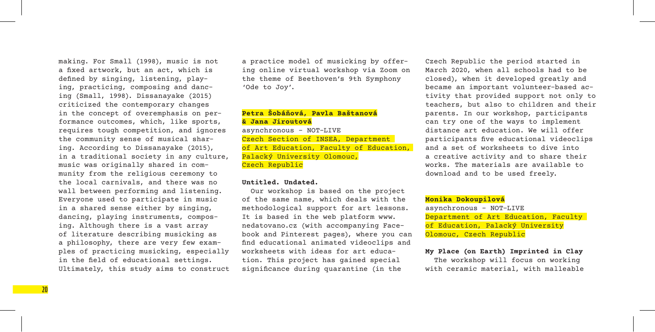making. For Small (1998), music is not a fixed artwork, but an act, which is defined by singing, listening, playing, practicing, composing and dancing (Small, 1998). Dissanayake (2015) criticized the contemporary changes in the concept of overemphasis on performance outcomes, which, like sports, requires tough competition, and ignores the community sense of musical sharing. According to Dissanayake (2015), in a traditional society in any culture, music was originally shared in community from the religious ceremony to the local carnivals, and there was no wall between performing and listening. Everyone used to participate in music in a shared sense either by singing, dancing, playing instruments, composing. Although there is a vast array of literature describing musicking as a philosophy, there are very few examples of practicing musicking, especially in the field of educational settings. Ultimately, this study aims to construct a practice model of musicking by offering online virtual workshop via Zoom on the theme of Beethoven's 9th Symphony 'Ode to Joy'.

#### **Petra Šobáňová, Pavla Baštanová & Jana Jiroutová** asynchronous – NOT-LIVE Czech Section of INSEA, Department of Art Education, Faculty of Education, Palacký University Olomouc, Czech Republic

#### **Untitled. Undated.**

Our workshop is based on the project of the same name, which deals with the methodological support for art lessons. It is based in the web platform www. nedatovano.cz (with accompanying Facebook and Pinterest pages), where you can find educational animated videoclips and worksheets with ideas for art education. This project has gained special significance during quarantine (in the

Czech Republic the period started in March 2020, when all schools had to be closed), when it developed greatly and became an important volunteer-based activity that provided support not only to teachers, but also to children and their parents. In our workshop, participants can try one of the ways to implement distance art education. We will offer participants five educational videoclips and a set of worksheets to dive into a creative activity and to share their works. The materials are available to download and to be used freely.

#### **Monika Dokoupilová**

asynchronous – NOT-LIVE Department of Art Education, Faculty of Education, Palacký University Olomouc, Czech Republic

**My Place (on Earth) Imprinted in Clay**  The workshop will focus on working with ceramic material, with malleable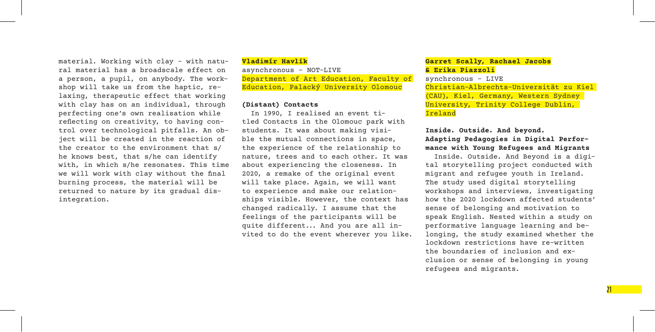material. Working with clay – with natural material has a broadscale effect on a person, a pupil, on anybody. The workshop will take us from the haptic, relaxing, therapeutic effect that working with clay has on an individual, through perfecting one's own realisation while reflecting on creativity, to having control over technological pitfalls. An object will be created in the reaction of the creator to the environment that s/ he knows best, that s/he can identify with, in which s/he resonates. This time we will work with clay without the final burning process, the material will be returned to nature by its gradual disintegration.

#### **Vladimír Havlík**

asynchronous – NOT-LIVE Department of Art Education, Faculty of Education, Palacký University Olomouc

#### **(Distant) Contacts**

In 1990, I realised an event titled Contacts in the Olomouc park with students. It was about making visible the mutual connections in space, the experience of the relationship to nature, trees and to each other. It was about experiencing the closeness. In 2020, a remake of the original event will take place. Again, we will want to experience and make our relationships visible. However, the context has changed radically. I assume that the feelings of the participants will be quite different... And you are all invited to do the event wherever you like.

#### **Garret Scally, Rachael Jacobs & Erika Piazzoli**

synchronous – LIVE Christian-Albrechts-Universität zu Kiel (CAU), Kiel, Germany, Western Sydney University, Trinity College Dublin, Ireland

#### **Inside. Outside. And beyond. Adapting Pedagogies in Digital Performance with Young Refugees and Migrants**

Inside. Outside. And Beyond is a digital storytelling project conducted with migrant and refugee youth in Ireland. The study used digital storytelling workshops and interviews, investigating how the 2020 lockdown affected students' sense of belonging and motivation to speak English. Nested within a study on performative language learning and belonging, the study examined whether the lockdown restrictions have re-written the boundaries of inclusion and exclusion or sense of belonging in young refugees and migrants.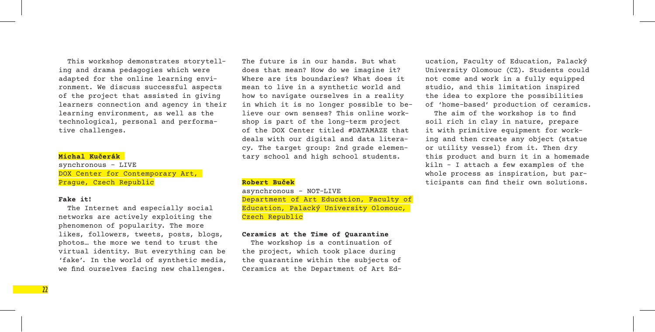This workshop demonstrates storytelling and drama pedagogies which were adapted for the online learning environment. We discuss successful aspects of the project that assisted in giving learners connection and agency in their learning environment, as well as the technological, personal and performative challenges.

#### **Michal Kučerák**

synchronous – LIVE DOX Center for Contemporary Art, Prague, Czech Republic

#### **Fake it!**

The Internet and especially social networks are actively exploiting the phenomenon of popularity. The more likes, followers, tweets, posts, blogs, photos… the more we tend to trust the virtual identity. But everything can be 'fake'. In the world of synthetic media, we find ourselves facing new challenges.

The future is in our hands. But what does that mean? How do we imagine it? Where are its boundaries? What does it mean to live in a synthetic world and how to navigate ourselves in a reality in which it is no longer possible to believe our own senses? This online workshop is part of the long-term project of the DOX Center titled #DATAMAZE that deals with our digital and data literacy. The target group: 2nd grade elementary school and high school students.

#### **Robert Buček**

asynchronous – NOT-LIVE Department of Art Education, Faculty of Education, Palacký University Olomouc, Czech Republic

#### **Ceramics at the Time of Quarantine**

The workshop is a continuation of the project, which took place during the quarantine within the subjects of Ceramics at the Department of Art Education, Faculty of Education, Palacký University Olomouc (CZ). Students could not come and work in a fully equipped studio, and this limitation inspired the idea to explore the possibilities of 'home-based' production of ceramics.

The aim of the workshop is to find soil rich in clay in nature, prepare it with primitive equipment for working and then create any object (statue or utility vessel) from it. Then dry this product and burn it in a homemade kiln – I attach a few examples of the whole process as inspiration, but participants can find their own solutions.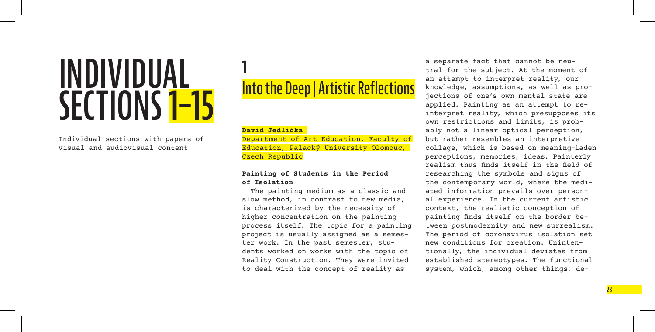# **INDIVIDUAL SECTIONS 1–15**

Individual sections with papers of visual and audiovisual content

## **1 Into the Deep | Artistic Reflections**

#### **David Jedlička**

Department of Art Education, Faculty of Education, Palacký University Olomouc, Czech Republic

#### **Painting of Students in the Period of Isolation**

The painting medium as a classic and slow method, in contrast to new media, is characterized by the necessity of higher concentration on the painting process itself. The topic for a painting project is usually assigned as a semester work. In the past semester, students worked on works with the topic of Reality Construction. They were invited to deal with the concept of reality as

a separate fact that cannot be neutral for the subject. At the moment of an attempt to interpret reality, our knowledge, assumptions, as well as projections of one's own mental state are applied. Painting as an attempt to reinterpret reality, which presupposes its own restrictions and limits, is probably not a linear optical perception, but rather resembles an interpretive collage, which is based on meaning-laden perceptions, memories, ideas. Painterly realism thus finds itself in the field of researching the symbols and signs of the contemporary world, where the mediated information prevails over personal experience. In the current artistic context, the realistic conception of painting finds itself on the border between postmodernity and new surrealism. The period of coronavirus isolation set new conditions for creation. Unintentionally, the individual deviates from established stereotypes. The functional system, which, among other things, de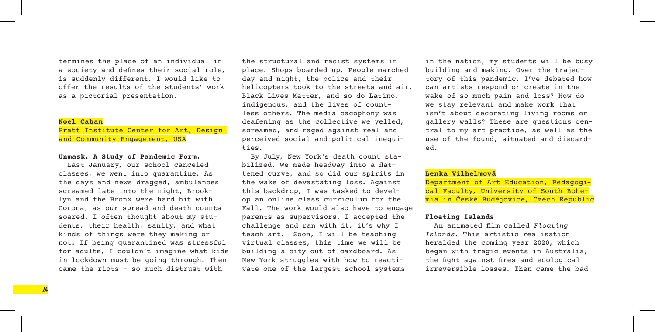termines the place of an individual in a society and defines their social role, is suddenly different. I would like to offer the results of the students' work as a pictorial presentation.

#### **Noel Caban**

Pratt Institute Center for Art, Design and Community Engagement, USA

#### **Unmask. A Study of Pandemic Form.**

Last January, our school canceled classes, we went into quarantine. As the days and news dragged, ambulances screamed late into the night, Brooklyn and the Bronx were hard hit with Corona, as our spread and death counts soared. I often thought about my students, their health, sanity, and what kinds of things were they making or not. If being quarantined was stressful for adults, I couldn't imagine what kids in lockdown must be going through. Then came the riots – so much distrust with

the structural and racist systems in place. Shops boarded up. People marched day and night, the police and their helicopters took to the streets and air. Black Lives Matter, and so do Latino, indigenous, and the lives of countless others. The media cacophony was deafening as the collective we yelled, screamed, and raged against real and perceived social and political inequities.

By July, New York's death count stabilized. We made headway into a flattened curve, and so did our spirits in the wake of devastating loss. Against this backdrop, I was tasked to develop an online class curriculum for the Fall. The work would also have to engage parents as supervisors. I accepted the challenge and ran with it, it's why I teach art. Soon, I will be teaching virtual classes, this time we will be building a city out of cardboard. As New York struggles with how to reactivate one of the largest school systems

in the nation, my students will be busy building and making. Over the trajectory of this pandemic, I've debated how can artists respond or create in the wake of so much pain and loss? How do we stay relevant and make work that isn't about decorating living rooms or gallery walls? These are questions central to my art practice, as well as the use of the found, situated and discarded.

#### **Lenka Vilhelmová**

Department of Art Education, Pedagogical Faculty, University of South Bohemia in České Budějovice, Czech Republic

#### **Floating Islands**

An animated film called *Floating Islands*. This artistic realisation heralded the coming year 2020, which began with tragic events in Australia, the fight against fires and ecological irreversible losses. Then came the bad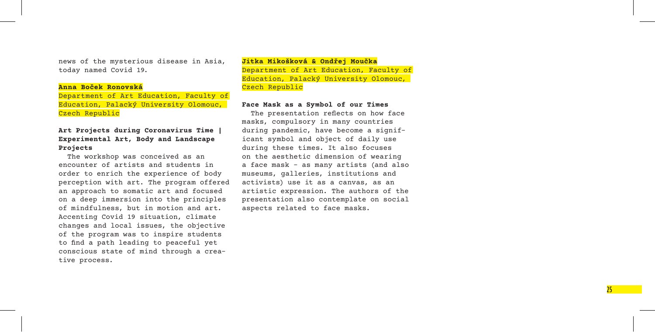news of the mysterious disease in Asia, today named Covid 19.

#### **Anna Boček Ronovská**

Department of Art Education, Faculty of Education, Palacký University Olomouc, Czech Republic

#### **Art Projects during Coronavirus Time | Experimental Art, Body and Landscape Projects**

The workshop was conceived as an encounter of artists and students in order to enrich the experience of body perception with art. The program offered an approach to somatic art and focused on a deep immersion into the principles of mindfulness, but in motion and art. Accenting Covid 19 situation, climate changes and local issues, the objective of the program was to inspire students to find a path leading to peaceful yet conscious state of mind through a crea tive process.

#### **Jitka Mikošková & Ondřej Moučka** Department of Art Education, Faculty of Education, Palacký University Olomouc, Czech Republic

#### **Face Mask as a Symbol of our Times**

The presentation reflects on how face masks, compulsory in many countries during pandemic, have become a signif icant symbol and object of daily use during these times. It also focuses<br>on the aesthetic dimension of wearing a face mask – as many artists (and also museums, galleries, institutions and activists) use it as a canvas, as an artistic expression. The authors of the presentation also contemplate on social aspects related to face masks.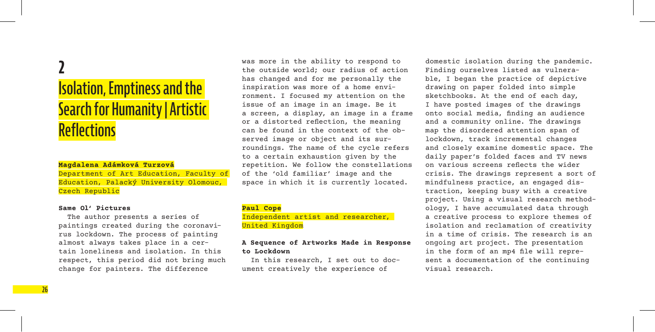## **2 Isolation, Emptiness and the Search for Humanity | Artistic Reflections**

#### **Magdalena Adámková Turzová**

Department of Art Education, Faculty of Education, Palacký University Olomouc, Czech Republic

#### **Same Ol' Pictures**

The author presents a series of paintings created during the coronavirus lockdown. The process of painting almost always takes place in a certain loneliness and isolation. In this respect, this period did not bring much change for painters. The difference

was more in the ability to respond to the outside world; our radius of action has changed and for me personally the inspiration was more of a home environment. I focused my attention on the issue of an image in an image. Be it a screen, a display, an image in a frame or a distorted reflection, the meaning can be found in the context of the observed image or object and its surroundings. The name of the cycle refers to a certain exhaustion given by the repetition. We follow the constellations of the 'old familiar' image and the space in which it is currently located.

#### **Paul Cope**

Independent artist and researcher, United Kingdom

#### **A Sequence of Artworks Made in Response to Lockdown**

In this research, I set out to document creatively the experience of

domestic isolation during the pandemic. Finding ourselves listed as vulnerable, I began the practice of depictive drawing on paper folded into simple sketchbooks. At the end of each day, I have posted images of the drawings onto social media, finding an audience and a community online. The drawings map the disordered attention span of lockdown, track incremental changes and closely examine domestic space. The daily paper's folded faces and TV news on various screens reflects the wider crisis. The drawings represent a sort of mindfulness practice, an engaged distraction, keeping busy with a creative project. Using a visual research methodology, I have accumulated data through a creative process to explore themes of isolation and reclamation of creativity in a time of crisis. The research is an ongoing art project. The presentation in the form of an mp4 file will represent a documentation of the continuing visual research.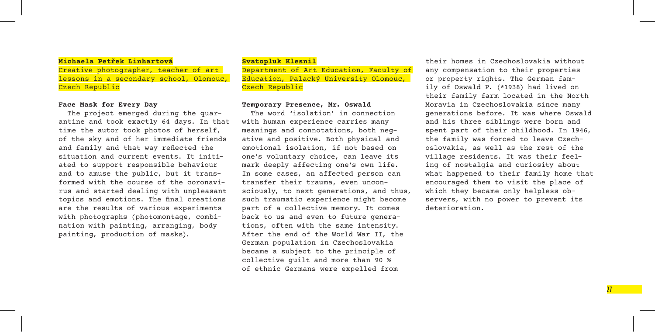#### **Michaela Petřek Linhartová**

Creative photographer, teacher of art lessons in a secondary school, Olomouc, Czech Republic

#### **Face Mask for Every Day**

The project emerged during the quarantine and took exactly 64 days. In that time the autor took photos of herself, of the sky and of her immediate friends and family and that way reflected the situation and current events. It initiated to support responsible behaviour and to amuse the public, but it transformed with the course of the coronavirus and started dealing with unpleasant topics and emotions. The final creations are the results of various experiments with photographs (photomontage, combination with painting, arranging, body painting, production of masks).

#### **Svatopluk Klesnil**

Department of Art Education, Faculty of Education, Palacký University Olomouc, Czech Republic

#### **Temporary Presence, Mr. Oswald**

The word 'isolation' in connection with human experience carries many meanings and connotations, both negative and positive. Both physical and emotional isolation, if not based on one's voluntary choice, can leave its mark deeply affecting one's own life. In some cases, an affected person can transfer their trauma, even unconsciously, to next generations, and thus, such traumatic experience might become part of a collective memory. It comes back to us and even to future generations, often with the same intensity. After the end of the World War II, the German population in Czechoslovakia became a subject to the principle of collective guilt and more than 90 % of ethnic Germans were expelled from

their homes in Czechoslovakia without any compensation to their properties or property rights. The German family of Oswald P. (\*1938) had lived on their family farm located in the North Moravia in Czechoslovakia since many generations before. It was where Oswald and his three siblings were born and spent part of their childhood. In 1946, the family was forced to leave Czechoslovakia, as well as the rest of the village residents. It was their feeling of nostalgia and curiosity about what happened to their family home that encouraged them to visit the place of which they became only helpless observers, with no power to prevent its deterioration.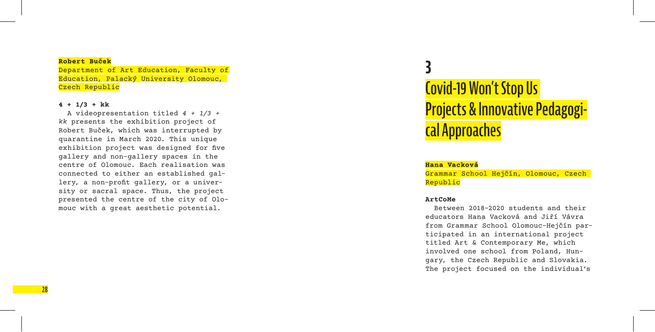#### **Robert Buček**

Department of Art Education, Faculty of Education, Palacký University Olomouc, Czech Republic

#### **4 + 1/3 + kk**

A videopresentation titled *4 + 1/3 + kk* presents the exhibition project of Robert Buček, which was interrupted by quarantine in March 2020. This unique exhibition project was designed for five gallery and non-gallery spaces in the centre of Olomouc. Each realisation was connected to either an established gal lery, a non-profit gallery, or a univer sity or sacral space. Thus, the project presented the centre of the city of Olo mouc with a great aesthetic potential.

## **3 Covid-19 Won't Stop Us Projects & Innovative Pedagogi cal Approaches**

#### **Hana Vacková**

Grammar School Hejčín, Olomouc, Czech Republic

#### **ArtCoMe**

Between 2018–2020 students and their educators Hana Vacková and Jiří Vávra from Grammar School Olomouc-Hejčín par ticipated in an international project titled Art & Contemporary Me, which involved one school from Poland, Hungary, the Czech Republic and Slovakia. The project focused on the individual's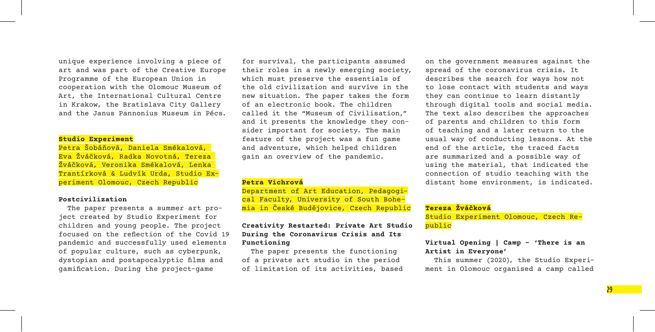unique experience involving a piece of art and was part of the Creative Europe Programme of the European Union in cooperation with the Olomouc Museum of Art, the International Cultural Centre in Krakow, the Bratislava City Gallery and the Janus Pannonius Museum in Pécs.

#### **Studio Experiment**

Petra Šobáňová, Daniela Smékalová, Eva Žváčková, Radka Novotná, Tereza Žváčková, Veronika Smékalová, Lenka Trantírková & Ludvík Urda, Studio Experiment Olomouc, Czech Republic

#### **Postcivilization**

The paper presents a summer art project created by Studio Experiment for children and young people. The project focused on the reflection of the Covid 19 pandemic and successfully used elements of popular culture, such as cyberpunk, dystopian and postapocalyptic films and gamification. During the project-game

for survival, the participants assumed their roles in a newly emerging society, which must preserve the essentials of the old civilization and survive in the new situation. The paper takes the form of an electronic book. The children called it the "Museum of Civilisation," and it presents the knowledge they consider important for society. The main feature of the project was a fun game and adventure, which helped children gain an overview of the pandemic.

#### **Petra Vichrová**

Department of Art Education, Pedagogical Faculty, University of South Bohemia in České Budějovice, Czech Republic

#### **Creativity Restarted: Private Art Studio During the Coronavirus Crisis and Its Functioning**

The paper presents the functioning of a private art studio in the period of limitation of its activities, based on the government measures against the spread of the coronavirus crisis. It describes the search for ways how not to lose contact with students and ways they can continue to learn distantly through digital tools and social media. The text also describes the approaches of parents and children to this form of teaching and a later return to the usual way of conducting lessons. At the end of the article, the traced facts are summarized and a possible way of using the material, that indicated the connection of studio teaching with the distant home environment, is indicated.

#### **Tereza Žváčková**

Studio Experiment Olomouc, Czech Republic

#### **Virtual Opening | Camp – 'There is an Artist in Everyone'**

This summer (2020), the Studio Experiment in Olomouc organised a camp called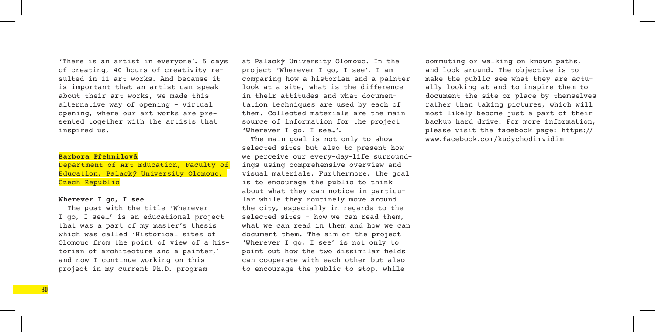'There is an artist in everyone'. 5 days of creating, 40 hours of creativity resulted in 11 art works. And because it is important that an artist can speak about their art works, we made this alternative way of opening – virtual opening, where our art works are presented together with the artists that inspired us.

#### **Barbora Přehnilová**

Department of Art Education, Faculty of Education, Palacký University Olomouc, Czech Republic

#### **Wherever I go, I see**

The post with the title 'Wherever I go, I see…' is an educational project that was a part of my master's thesis which was called 'Historical sites of Olomouc from the point of view of a historian of architecture and a painter,' and now I continue working on this project in my current Ph.D. program

at Palacký University Olomouc. In the project 'Wherever I go, I see', I am comparing how a historian and a painter look at a site, what is the difference in their attitudes and what documentation techniques are used by each of them. Collected materials are the main source of information for the project 'Wherever I go, I see…'.

The main goal is not only to show selected sites but also to present how we perceive our every-day-life surroundings using comprehensive overview and visual materials. Furthermore, the goal is to encourage the public to think about what they can notice in particular while they routinely move around the city, especially in regards to the selected sites – how we can read them, what we can read in them and how we can document them. The aim of the project 'Wherever I go, I see' is not only to point out how the two dissimilar fields can cooperate with each other but also to encourage the public to stop, while

commuting or walking on known paths, and look around. The objective is to make the public see what they are actually looking at and to inspire them to document the site or place by themselves rather than taking pictures, which will most likely become just a part of their backup hard drive. For more information, please visit the facebook page: https:// www.facebook.com/kudychodimvidim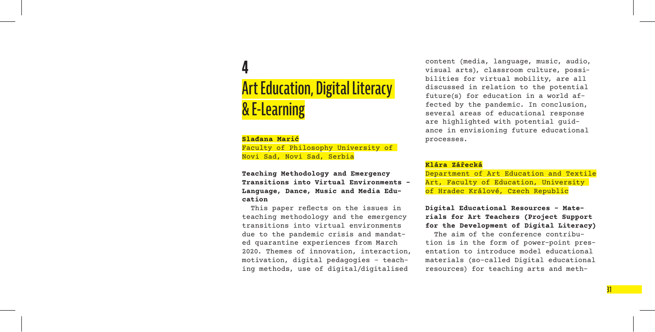## **4 Art Education, Digital Literacy & E-Learning**

#### **Slađana Marić**

Faculty of Philosophy University of Novi Sad, Novi Sad, Serbia

**Teaching Methodology and Emergency Transitions into Virtual Environments – Language, Dance, Music and Media Education**

This paper reflects on the issues in teaching methodology and the emergency transitions into virtual environments due to the pandemic crisis and mandated quarantine experiences from March 2020. Themes of innovation, interaction, motivation, digital pedagogies – teaching methods, use of digital/digitalised

content (media, language, music, audio, visual arts), classroom culture, possibilities for virtual mobility, are all discussed in relation to the potential future(s) for education in a world affected by the pandemic. In conclusion, several areas of educational response are highlighted with potential guidance in envisioning future educational processes.

#### **Klára Zářecká**

Department of Art Education and Textile Art, Faculty of Education, University of Hradec Králové, Czech Republic

#### **Digital Educational Resources – Materials for Art Teachers (Project Support for the Development of Digital Literacy)**

The aim of the conference contribution is in the form of power-point presentation to introduce model educational materials (so-called Digital educational resources) for teaching arts and meth-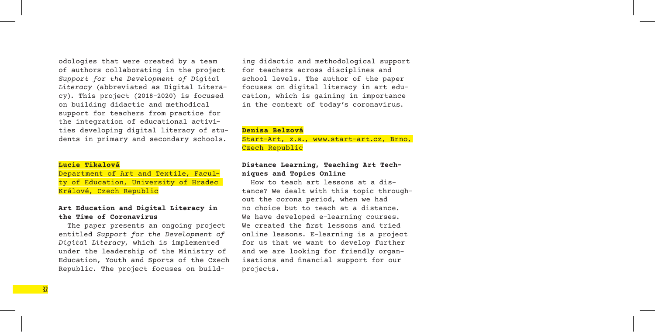odologies that were created by a team of authors collaborating in the project *Support for the Development of Digital Literacy* (abbreviated as Digital Literacy). This project (2018–2020) is focused on building didactic and methodical support for teachers from practice for the integration of educational activities developing digital literacy of students in primary and secondary schools.

#### **Lucie Tikalová**

Department of Art and Textile, Faculty of Education, University of Hradec Králové, Czech Republic

#### **Art Education and Digital Literacy in the Time of Coronavirus**

The paper presents an ongoing project entitled *Support for the Development of Digital Literacy*, which is implemented under the leadership of the Ministry of Education, Youth and Sports of the Czech Republic. The project focuses on building didactic and methodological support for teachers across disciplines and school levels. The author of the paper focuses on digital literacy in art education, which is gaining in importance in the context of today's coronavirus.

#### **Denisa Belzová**

Start-Art, z.s., www.start-art.cz, Brno, Czech Republic

#### **Distance Learning, Teaching Art Techniques and Topics Online**

How to teach art lessons at a distance? We dealt with this topic throughout the corona period, when we had no choice but to teach at a distance. We have developed e-learning courses. We created the first lessons and tried online lessons. E-learning is a project for us that we want to develop further and we are looking for friendly organisations and financial support for our projects.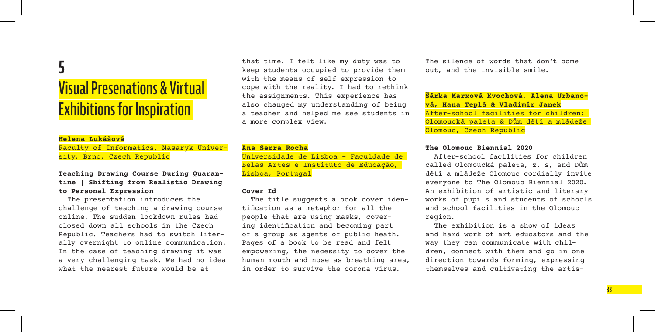## **5 Visual Presenations & Virtual Exhibitions for Inspiration**

#### **Helena Lukášová**

Faculty of Informatics, Masaryk University, Brno, Czech Republic

#### **Teaching Drawing Course During Quarantine | Shifting from Realistic Drawing to Personal Expression**

The presentation introduces the challenge of teaching a drawing course online. The sudden lockdown rules had closed down all schools in the Czech Republic. Teachers had to switch literally overnight to online communication. In the case of teaching drawing it was a very challenging task. We had no idea what the nearest future would be at

that time. I felt like my duty was to keep students occupied to provide them with the means of self expression to cope with the reality. I had to rethink the assignments. This experience has also changed my understanding of being a teacher and helped me see students in a more complex view.

#### **Ana Serra Rocha**

Universidade de Lisboa – Faculdade de Belas Artes e Instituto de Educação, Lisboa, Portugal

#### **Cover Id**

The title suggests a book cover identification as a metaphor for all the people that are using masks, covering identification and becoming part of a group as agents of public heath. Pages of a book to be read and felt empowering, the necessity to cover the human mouth and nose as breathing area, in order to survive the corona virus.

The silence of words that don't come out, and the invisible smile.

**Šárka Marxová Kvochová, Alena Urbanová, Hana Teplá & Vladimír Janek** After-school facilities for children: Olomoucká paleta & Dům dětí a mládeže Olomouc, Czech Republic

#### **The Olomouc Biennial 2020**

After-school facilities for children called Olomoucká paleta, z. s, and Dům dětí a mládeže Olomouc cordially invite everyone to The Olomouc Biennial 2020. An exhibition of artistic and literary works of pupils and students of schools and school facilities in the Olomouc region.

The exhibition is a show of ideas and hard work of art educators and the way they can communicate with children, connect with them and go in one direction towards forming, expressing themselves and cultivating the artis-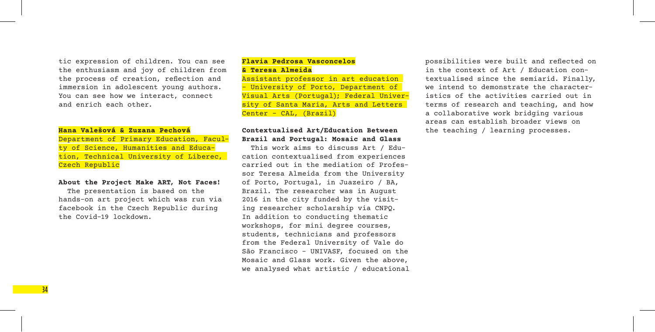tic expression of children. You can see the enthusiasm and joy of children from the process of creation, reflection and immersion in adolescent young authors. You can see how we interact, connect and enrich each other.

#### **Hana Valešová & Zuzana Pechová**

**34** 

Department of Primary Education, Faculty of Science, Humanities and Education, Technical University of Liberec, Czech Republic

#### **About the Project Make ART, Not Faces!**

The presentation is based on the hands-on art project which was run via facebook in the Czech Republic during the Covid-19 lockdown.

#### **Flavia Pedrosa Vasconcelos & Teresa Almeida**

Assistant professor in art education – University of Porto, Department of Visual Arts (Portugal); Federal University of Santa Maria, Arts and Letters Center – CAL, (Brazil)

#### **Contextualised Art/Education Between Brazil and Portugal: Mosaic and Glass**

This work aims to discuss Art / Education contextualised from experiences carried out in the mediation of Professor Teresa Almeida from the University of Porto, Portugal, in Juazeiro / BA, Brazil. The researcher was in August 2016 in the city funded by the visiting researcher scholarship via CNPQ. In addition to conducting thematic workshops, for mini degree courses, students, technicians and professors from the Federal University of Vale do São Francisco – UNIVASF, focused on the Mosaic and Glass work. Given the above, we analysed what artistic / educational possibilities were built and reflected on in the context of Art / Education contextualised since the semiarid. Finally, we intend to demonstrate the characteristics of the activities carried out in terms of research and teaching, and how a collaborative work bridging various areas can establish broader views on the teaching / learning processes.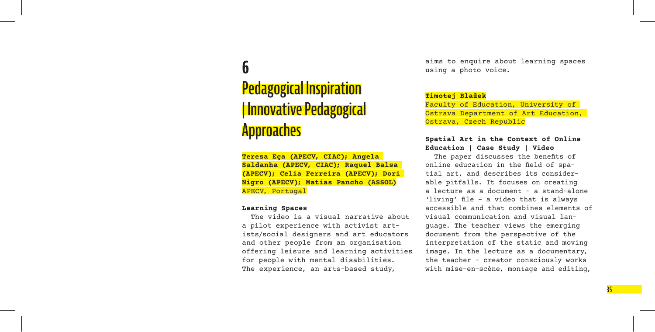## **6**

## **Pedagogical Inspiration | Innovative Pedagogical Approaches**

**Teresa Eça (APECV, CIAC); Angela Saldanha (APECV, CIAC); Raquel Balsa (APECV); Celia Ferreira (APECV); Dori Nigro (APECV); Matias Pancho (ASSOL)** APECV, Portugal

#### **Learning Spaces**

The video is a visual narrative about a pilot experience with activist artists/social designers and art educators and other people from an organisation offering leisure and learning activities for people with mental disabilities. The experience, an arts-based study,

aims to enquire about learning spaces using a photo voice.

#### **Timotej Blažek**

Faculty of Education, University of Ostrava Department of Art Education, Ostrava, Czech Republic

#### **Spatial Art in the Context of Online Education | Case Study | Video**

The paper discusses the benefits of online education in the field of spatial art, and describes its considerable pitfalls. It focuses on creating a lecture as a document – a stand-alone 'living' file – a video that is always accessible and that combines elements of visual communication and visual language. The teacher views the emerging document from the perspective of the interpretation of the static and moving image. In the lecture as a documentary, the teacher – creator consciously works with mise-en-scène, montage and editing,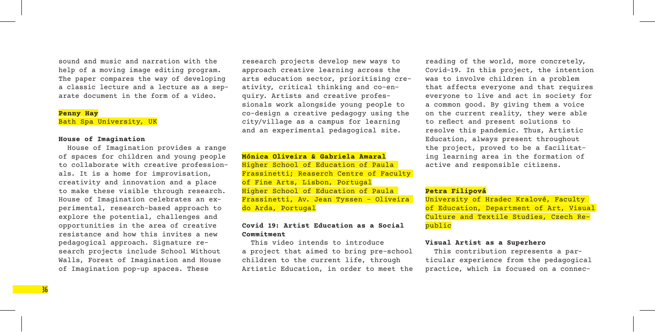sound and music and narration with the help of a moving image editing program. The paper compares the way of developing a classic lecture and a lecture as a separate document in the form of a video.

#### **Penny Hay** Bath Spa University, UK

#### **House of Imagination**

House of Imagination provides a range of spaces for children and young people to collaborate with creative professionals. It is a home for improvisation, creativity and innovation and a place to make these visible through research. House of Imagination celebrates an experimental, research-based approach to explore the potential, challenges and opportunities in the area of creative resistance and how this invites a new pedagogical approach. Signature research projects include School Without Walls, Forest of Imagination and House of Imagination pop-up spaces. These

research projects develop new ways to approach creative learning across the arts education sector, prioritising creativity, critical thinking and co-enquiry. Artists and creative professionals work alongside young people to co-design a creative pedagogy using the city/village as a campus for learning and an experimental pedagogical site.

**Mónica Oliveira & Gabriela Amaral** Higher School of Education of Paula Frassinetti; Reaserch Centre of Faculty of Fine Arts, Lisbon, Portugal Higher School of Education of Paula Frassinetti, Av. Jean Tyssen – Oliveira do Arda, Portugal

#### **Covid 19: Artist Education as a Social Commitment**

This video intends to introduce a project that aimed to bring pre-school children to the current life, through Artistic Education, in order to meet the reading of the world, more concretely, Covid-19. In this project, the intention was to involve children in a problem that affects everyone and that requires everyone to live and act in society for a common good. By giving them a voice on the current reality, they were able to reflect and present solutions to resolve this pandemic. Thus, Artistic Education, always present throughout the project, proved to be a facilitating learning area in the formation of active and responsible citizens.

#### **Petra Filipová**

University of Hradec Kralové, Faculty of Education, Department of Art, Visual Culture and Textile Studies, Czech Republic

#### **Visual Artist as a Superhero**

This contribution represents a particular experience from the pedagogical practice, which is focused on a connec-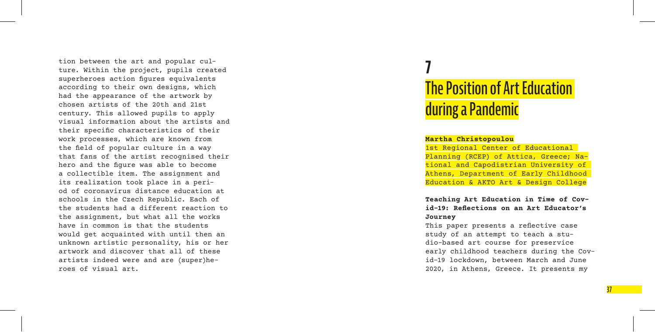tion between the art and popular cul ture. Within the project, pupils created superheroes action figures equivalents according to their own designs, which had the appearance of the artwork by chosen artists of the 20th and 21st century. This allowed pupils to apply visual information about the artists and their specific characteristics of their work processes, which are known from the field of popular culture in a way that fans of the artist recognised their hero and the figure was able to become a collectible item. The assignment and its realization took place in a peri od of coronavirus distance education at schools in the Czech Republic. Each of the students had a different reaction to the assignment, but what all the works have in common is that the students would get acquainted with until then an unknown artistic personality, his or her artwork and discover that all of these artists indeed were and are (super)he roes of visual art.

## **7 The Position of Art Education during aPandemic**

#### **Martha Christopoulou**

1st Regional Center of Educational Planning (RCEP) of Attica, Greece; Na tional and Capodistrian University of Athens, Department of Early Childhood Education & AKTO Art & Design College

**Teaching Art Education in Time of Cov id-19: Reflections on an Art Educator's Journey**

This paper presents a reflective case study of an attempt to teach a stu dio-based art course for preservice early childhood teachers during the Cov id-19 lockdown, between March and June 2020, in Athens, Greece. It presents my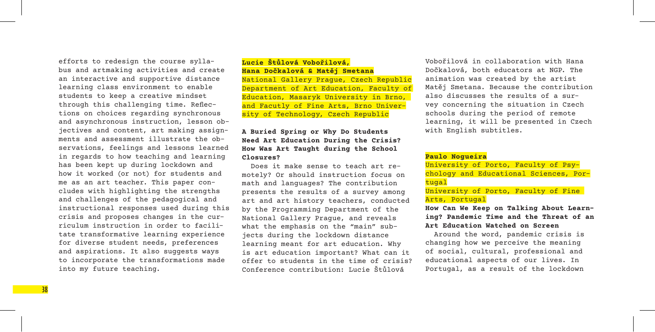efforts to redesign the course syllabus and artmaking activities and create an interactive and supportive distance learning class environment to enable students to keep a creative mindset through this challenging time. Reflections on choices regarding synchronous and asynchronous instruction, lesson objectives and content, art making assignments and assessment illustrate the observations, feelings and lessons learned in regards to how teaching and learning has been kept up during lockdown and how it worked (or not) for students and me as an art teacher. This paper concludes with highlighting the strengths and challenges of the pedagogical and instructional responses used during this crisis and proposes changes in the curriculum instruction in order to facilitate transformative learning experience for diverse student needs, preferences and aspirations. It also suggests ways to incorporate the transformations made into my future teaching.

#### **Lucie Štůlová Vobořilová, Hana Dočkalová & Matěj Smetana**

National Gallery Prague, Czech Republic Department of Art Education, Faculty of Education, Masaryk University in Brno, and Facutly of Fine Arts, Brno University of Technology, Czech Republic

#### **A Buried Spring or Why Do Students Need Art Education During the Crisis? How Was Art Taught during the School Closures?**

Does it make sense to teach art remotely? Or should instruction focus on math and languages? The contribution presents the results of a survey among art and art history teachers, conducted by the Programming Department of the National Gallery Prague, and reveals what the emphasis on the "main" subjects during the lockdown distance learning meant for art education. Why is art education important? What can it offer to students in the time of crisis? Conference contribution: Lucie Štůlová

Vobořilová in collaboration with Hana Dočkalová, both educators at NGP. The animation was created by the artist Matěj Smetana. Because the contribution also discusses the results of a survey concerning the situation in Czech schools during the period of remote learning, it will be presented in Czech with English subtitles.

#### **Paulo Nogueira**

University of Porto, Faculty of Psychology and Educational Sciences, Portugal

University of Porto, Faculty of Fine Arts, Portugal

**How Can We Keep on Talking About Learning? Pandemic Time and the Threat of an Art Education Watched on Screen**

Around the word, pandemic crisis is changing how we perceive the meaning of social, cultural, professional and educational aspects of our lives. In Portugal, as a result of the lockdown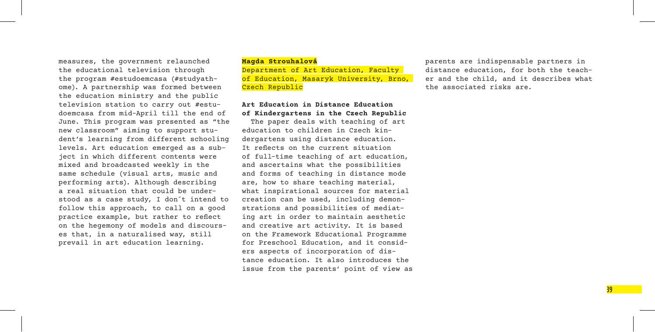measures, the government relaunched the educational television through the program #estudoemcasa (#studyathome). A partnership was formed between the education ministry and the public television station to carry out #estudoemcasa from mid-April till the end of June. This program was presented as "the new classroom" aiming to support student's learning from different schooling levels. Art education emerged as a subject in which different contents were mixed and broadcasted weekly in the same schedule (visual arts, music and performing arts). Although describing a real situation that could be understood as a case study, I don´t intend to follow this approach, to call on a good practice example, but rather to reflect on the hegemony of models and discourses that, in a naturalised way, still prevail in art education learning.

#### **Magda Strouhalová** Department of Art Education, Faculty of Education, Masaryk University, Brno, Czech Republic

#### **Art Education in Distance Education of Kindergartens in the Czech Republic**

The paper deals with teaching of art education to children in Czech kindergartens using distance education. It reflects on the current situation of full-time teaching of art education, and ascertains what the possibilities and forms of teaching in distance mode are, how to share teaching material, what inspirational sources for material creation can be used, including demonstrations and possibilities of mediating art in order to maintain aesthetic and creative art activity. It is based on the Framework Educational Programme for Preschool Education, and it considers aspects of incorporation of distance education. It also introduces the issue from the parents' point of view as parents are indispensable partners in distance education, for both the teacher and the child, and it describes what the associated risks are.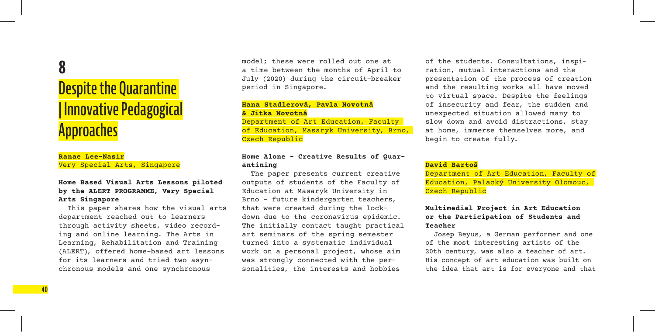## **8**

## **Despite the Quarantine | Innovative Pedagogical Approaches**

#### **Ranae Lee-Nasir** Very Special Arts, Singapore

#### **Home Based Visual Arts Lessons piloted by the ALERT PROGRAMME, Very Special Arts Singapore**

This paper shares how the visual arts department reached out to learners through activity sheets, video recording and online learning. The Arts in Learning, Rehabilitation and Training (ALERT), offered home-based art lessons for its learners and tried two asynchronous models and one synchronous

model; these were rolled out one at a time between the months of April to July (2020) during the circuit-breaker period in Singapore.

#### **Hana Stadlerová, Pavla Novotná & Jitka Novotná** Department of Art Education, Faculty

of Education, Masaryk University, Brno, Czech Republic

#### **Home Alone – Creative Results of Quarantining**

The paper presents current creative outputs of students of the Faculty of Education at Masaryk University in Brno – future kindergarten teachers, that were created during the lockdown due to the coronavirus epidemic. The initially contact taught practical art seminars of the spring semester turned into a systematic individual work on a personal project, whose aim was strongly connected with the personalities, the interests and hobbies

of the students. Consultations, inspiration, mutual interactions and the presentation of the process of creation and the resulting works all have moved to virtual space. Despite the feelings of insecurity and fear, the sudden and unexpected situation allowed many to slow down and avoid distractions, stay at home, immerse themselves more, and begin to create fully.

#### **David Bartoš**

Department of Art Education, Faculty of Education, Palacký University Olomouc, Czech Republic

#### **Multimedial Project in Art Education or the Participation of Students and Teacher**

Josep Beyus, a German performer and one of the most interesting artists of the 20th century, was also a teacher of art. His concept of art education was built on the idea that art is for everyone and that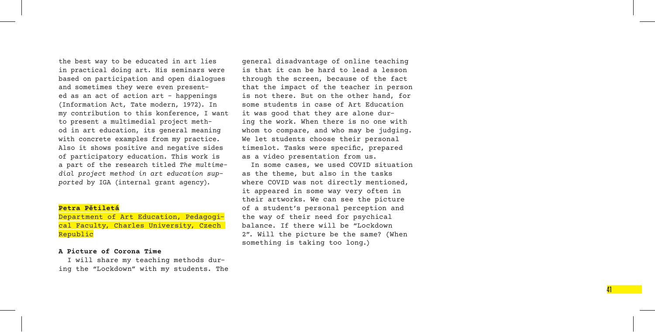the best way to be educated in art lies in practical doing art. His seminars were based on participation and open dialogues and sometimes they were even present ed as an act of action art – happenings (Information Act, Tate modern, 1972). In my contribution to this konference, I want to present a multimedial project meth od in art education, its general meaning with concrete examples from my practice. Also it shows positive and negative sides of participatory education. This work is a part of the research titled *The multime dial project method in art education sup ported* by IGA (internal grant agency).

#### **Petra Pětiletá**

Department of Art Education, Pedagogi cal Faculty, Charles University, Czech Republic

#### **A Picture of Corona Time**

I will share my teaching methods dur ing the "Lockdown" with my students. The general disadvantage of online teaching is that it can be hard to lead a lesson through the screen, because of the fact that the impact of the teacher in person is not there. But on the other hand, for some students in case of Art Education it was good that they are alone dur ing the work. When there is no one with whom to compare, and who may be judging. We let students choose their personal timeslot. Tasks were specific, prepared as a video presentation from us.

In some cases, we used COVID situation as the theme, but also in the tasks where COVID was not directly mentioned, it appeared in some way very often in their artworks. We can see the picture of a student's personal perception and the way of their need for psychical balance. If there will be "Lockdown 2". Will the picture be the same? (When something is taking too long.)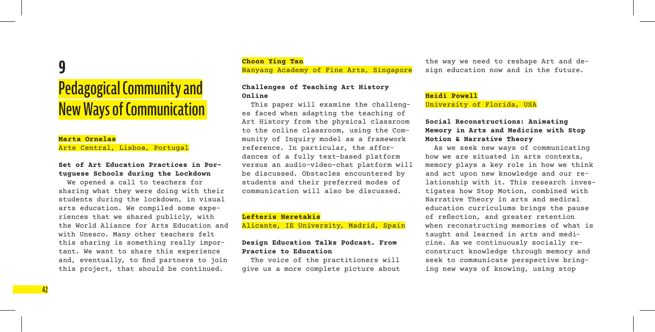## **9**

## **Pedagogical Community and New Ways of Communication**

#### **Marta Ornelas** Arte Central, Lisboa, Portugal

#### **Set of Art Education Practices in Portuguese Schools during the Lockdown**

We opened a call to teachers for sharing what they were doing with their students during the lockdown, in visual arts education. We compiled some experiences that we shared publicly, with the World Aliance for Arts Education and with Unesco. Many other teachers felt this sharing is something really important. We want to share this experience and, eventually, to find partners to join this project, that should be continued.

**Choon Ying Tan** Nanyang Academy of Fine Arts, Singapore

#### **Challenges of Teaching Art History Online**

This paper will examine the challenges faced when adapting the teaching of Art History from the physical classroom to the online classroom, using the Community of Inquiry model as a framework reference. In particular, the affordances of a fully text-based platform versus an audio-video-chat platform will be discussed. Obstacles encountered by students and their preferred modes of communication will also be discussed.

#### **Lefteris Heretakis**

Alicante, IE University, Madrid, Spain

#### **Design Education Talks Podcast. From Practice to Education**

The voice of the practitioners will give us a more complete picture about the way we need to reshape Art and design education now and in the future.

#### **Heidi Powell** University of Florida, USA

#### **Social Reconstructions: Animating Memory in Arts and Medicine with Stop Motion & Narrative Theory**

As we seek new ways of communicating how we are situated in arts contexts, memory plays a key role in how we think and act upon new knowledge and our relationship with it. This research investigates how Stop Motion, combined with Narrative Theory in arts and medical education curriculums brings the pause of reflection, and greater retention when reconstructing memories of what is taught and learned in arts and medicine. As we continuously socially reconstruct knowledge through memory and seek to communicate perspective bringing new ways of knowing, using stop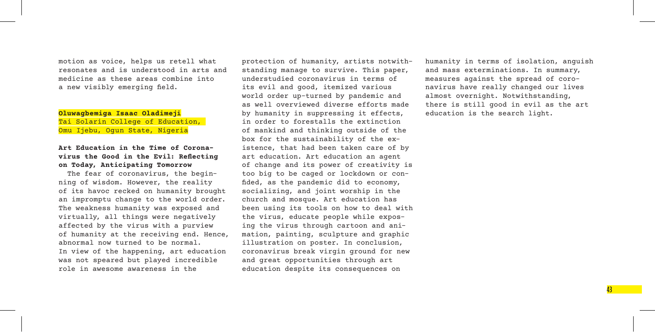motion as voice, helps us retell what resonates and is understood in arts and medicine as these areas combine into a new visibly emerging field.

#### **Oluwagbemiga Isaac Oladimeji** Tai Solarin College of Education, Omu Ijebu, Oqun State, Nigeria

#### **Art Education in the Time of Coronavirus the Good in the Evil: Reflecting on Today, Anticipating Tomorrow**

The fear of coronavirus, the beginning of wisdom. However, the reality of its havoc recked on humanity brought an impromptu change to the world order. The weakness humanity was exposed and virtually, all things were negatively affected by the virus with a purview of humanity at the receiving end. Hence, abnormal now turned to be normal. In view of the happening, art education was not speared but played incredible role in awesome awareness in the

protection of humanity, artists notwithstanding manage to survive. This paper, understudied coronavirus in terms of its evil and good, itemized various world order up-turned by pandemic and as well overviewed diverse efforts made by humanity in suppressing it effects, in order to forestalls the extinction of mankind and thinking outside of the box for the sustainability of the existence, that had been taken care of by art education. Art education an agent of change and its power of creativity is too big to be caged or lockdown or confided, as the pandemic did to economy, socializing, and joint worship in the church and mosque. Art education has been using its tools on how to deal with the virus, educate people while exposing the virus through cartoon and animation, painting, sculpture and graphic illustration on poster. In conclusion, coronavirus break virgin ground for new and great opportunities through art education despite its consequences on

humanity in terms of isolation, anguish and mass exterminations. In summary, measures against the spread of coronavirus have really changed our lives almost overnight. Notwithstanding, there is still good in evil as the art education is the search light.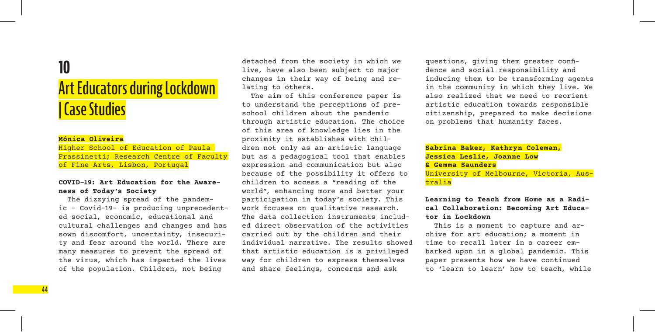## **10**

## **Art Educators during Lockdown |Case Studies**

#### **Mónica Oliveira**

Higher School of Education of Paula Frassinetti; Research Centre of Faculty of Fine Arts, Lisbon, Portugal

#### **COVID-19: Art Education for the Awareness of Today's Society**

The dizzying spread of the pandemic – Covid-19- is producing unprecedented social, economic, educational and cultural challenges and changes and has sown discomfort, uncertainty, insecurity and fear around the world. There are many measures to prevent the spread of the virus, which has impacted the lives of the population. Children, not being

detached from the society in which we live, have also been subject to major changes in their way of being and relating to others.

The aim of this conference paper is to understand the perceptions of preschool children about the pandemic through artistic education. The choice of this area of knowledge lies in the proximity it establishes with children not only as an artistic language but as a pedagogical tool that enables expression and communication but also because of the possibility it offers to children to access a "reading of the world", enhancing more and better your participation in today's society. This work focuses on qualitative research. The data collection instruments included direct observation of the activities carried out by the children and their individual narrative. The results showed that artistic education is a privileged way for children to express themselves and share feelings, concerns and ask

questions, giving them greater confidence and social responsibility and inducing them to be transforming agents in the community in which they live. We also realized that we need to reorient artistic education towards responsible citizenship, prepared to make decisions on problems that humanity faces.

#### **Sabrina Baker, Kathryn Coleman, Jessica Leslie, Joanne Low & Gemma Saunders**

University of Melbourne, Victoria, Australia

#### **Learning to Teach from Home as a Radical Collaboration: Becoming Art Educator in Lockdown**

This is a moment to capture and archive for art education; a moment in time to recall later in a career embarked upon in a global pandemic. This paper presents how we have continued to 'learn to learn' how to teach, while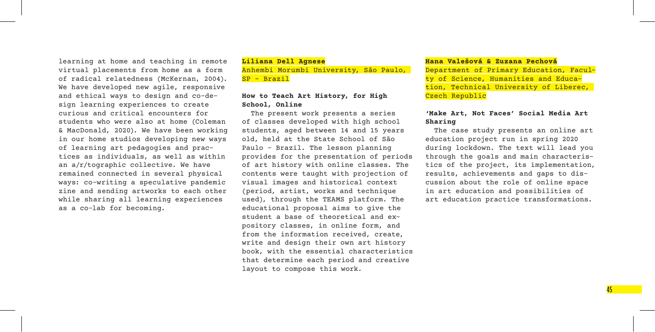learning at home and teaching in remote virtual placements from home as a form of radical relatedness (McKernan, 2004). We have developed new agile, responsive and ethical ways to design and co-design learning experiences to create curious and critical encounters for students who were also at home (Coleman & MacDonald, 2020). We have been working in our home studios developing new ways of learning art pedagogies and practices as individuals, as well as within an a/r/tographic collective. We have remained connected in several physical ways: co-writing a speculative pandemic zine and sending artworks to each other while sharing all learning experiences as a co-lab for becoming.

#### **Liliana Dell Agnese** Anhembi Morumbi University, São Paulo, SP – Brazil

#### **How to Teach Art History, for High School, Online**

The present work presents a series of classes developed with high school students, aged between 14 and 15 years old, held at the State School of São Paulo – Brazil. The lesson planning provides for the presentation of periods of art history with online classes. The contents were taught with projection of visual images and historical context (period, artist, works and technique used), through the TEAMS platform. The educational proposal aims to give the student a base of theoretical and expository classes, in online form, and from the information received, create, write and design their own art history book, with the essential characteristics that determine each period and creative layout to compose this work.

#### **Hana Valešová & Zuzana Pechová**

Department of Primary Education, Faculty of Science, Humanities and Education, Technical University of Liberec, Czech Republic

#### **'Make Art, Not Faces' Social Media Art Sharing**

The case study presents an online art education project run in spring 2020 during lockdown. The text will lead you through the goals and main characteristics of the project, its implementation, results, achievements and gaps to discussion about the role of online space in art education and possibilities of art education practice transformations.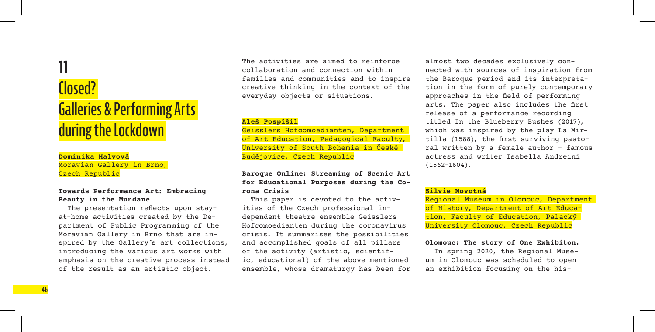## **11 Closed? Galleries & Performing Arts during the Lockdown**

#### **Dominika Halvová** Moravian Gallery in Brno, Czech Republic

#### **Towards Performance Art: Embracing Beauty in the Mundane**

The presentation reflects upon stayat-home activities created by the Department of Public Programming of the Moravian Gallery in Brno that are inspired by the Gallery´s art collections, introducing the various art works with emphasis on the creative process instead of the result as an artistic object.

The activities are aimed to reinforce collaboration and connection within families and communities and to inspire creative thinking in the context of the everyday objects or situations.

#### **Aleš Pospíšil**

Geisslers Hofcomoedianten, Department of Art Education, Pedagogical Faculty, University of South Bohemia in České Budějovice, Czech Republic

#### **Baroque Online: Streaming of Scenic Art for Educational Purposes during the Corona Crisis**

This paper is devoted to the activities of the Czech professional independent theatre ensemble Geisslers Hofcomoedianten during the coronavirus crisis. It summarises the possibilities and accomplished goals of all pillars of the activity (artistic, scientific, educational) of the above mentioned ensemble, whose dramaturgy has been for

almost two decades exclusively connected with sources of inspiration from the Baroque period and its interpretation in the form of purely contemporary approaches in the field of performing arts. The paper also includes the first release of a performance recording titled In the Blueberry Bushes (2017), which was inspired by the play La Mirtilla (1588), the first surviving pastoral written by a female author – famous actress and writer Isabella Andreini  $(1562 - 1604)$ .

#### **Silvie Novotná**

Regional Museum in Olomouc, Department of History, Department of Art Education, Faculty of Education, Palacký University Olomouc, Czech Republic

#### **Olomouc: The story of One Exhibiton.**

In spring 2020, the Regional Museum in Olomouc was scheduled to open an exhibition focusing on the his-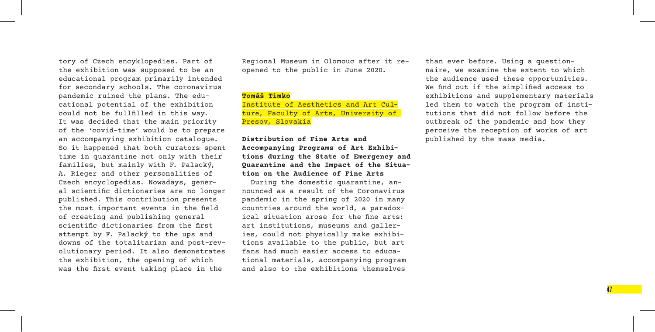tory of Czech encyklopedies. Part of the exhibition was supposed to be an educational program primarily intended for secondary schools. The coronavirus pandemic ruined the plans. The educational potential of the exhibition could not be fullfilled in this way. It was decided that the main priority of the 'covid-time' would be to prepare an accompanying exhibition catalogue. So it happened that both curators spent time in quarantine not only with their families, but mainly with F. Palacký, A. Rieger and other personalities of Czech encyclopedias. Nowadays, general scientific dictionaries are no longer published. This contribution presents the most important events in the field of creating and publishing general scientific dictionaries from the first attempt by F. Palacký to the ups and downs of the totalitarian and post-revolutionary period. It also demonstrates the exhibition, the opening of which was the first event taking place in the

Regional Museum in Olomouc after it reopened to the public in June 2020.

#### **Tomáš Timko**

Institute of Aesthetics and Art Culture, Faculty of Arts, University of Presov, Slovakia

#### **Distribution of Fine Arts and Accompanying Programs of Art Exhibitions during the State of Emergency and Quarantine and the Impact of the Situation on the Audience of Fine Arts**

During the domestic quarantine, announced as a result of the Coronavirus pandemic in the spring of 2020 in many countries around the world, a paradoxical situation arose for the fine arts: art institutions, museums and galleries, could not physically make exhibitions available to the public, but art fans had much easier access to educational materials, accompanying program and also to the exhibitions themselves

than ever before. Using a questionnaire, we examine the extent to which the audience used these opportunities. We find out if the simplified access to exhibitions and supplementary materials led them to watch the program of institutions that did not follow before the outbreak of the pandemic and how they perceive the reception of works of art published by the mass media.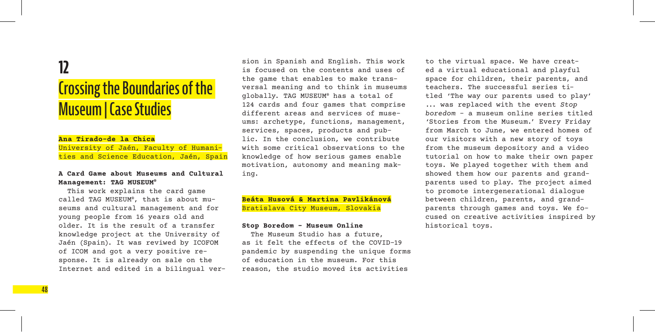## **12 Crossing the Boundaries of the Museum |Case Studies**

#### **Ana Tirado-de la Chica**

**48** 

University of Jaén, Faculty of Humanities and Science Education, Jaén, Spain

#### **A Card Game about Museums and Cultural Management: TAG MUSEUM®**

This work explains the card game called TAG MUSEUM® , that is about museums and cultural management and for young people from 16 years old and older. It is the result of a transfer knowledge project at the University of Jaén (Spain). It was reviwed by ICOFOM of ICOM and got a very positive response. It is already on sale on the Internet and edited in a bilingual version in Spanish and English. This work is focused on the contents and uses of the game that enables to make transversal meaning and to think in museums globally. TAG MUSEUM® has a total of 124 cards and four games that comprise different areas and services of museums: archetype, functions, management, services, spaces, products and public. In the conclusion, we contribute with some critical observations to the knowledge of how serious games enable motivation, autonomy and meaning making.

#### **Beáta Husová & Martina Pavlikánová** Bratislava City Museum, Slovakia

#### **Stop Boredom – Museum Online**

The Museum Studio has a future, as it felt the effects of the COVID-19 pandemic by suspending the unique forms of education in the museum. For this reason, the studio moved its activities

to the virtual space. We have created a virtual educational and playful space for children, their parents, and teachers. The successful series titled 'The way our parents used to play' ... was replaced with the event *Stop boredom* – a museum online series titled 'Stories from the Museum.' Every Friday from March to June, we entered homes of our visitors with a new story of toys from the museum depository and a video tutorial on how to make their own paper toys. We played together with them and showed them how our parents and grandparents used to play. The project aimed to promote intergenerational dialogue between children, parents, and grandparents through games and toys. We focused on creative activities inspired by historical toys.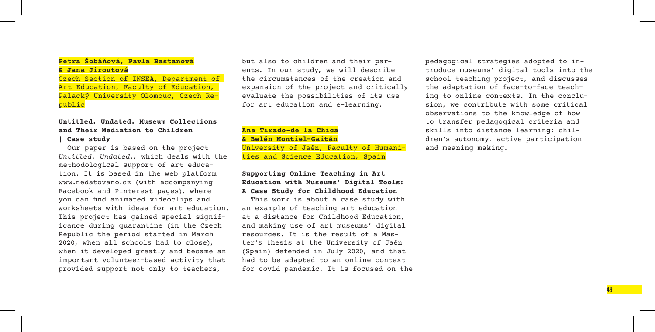#### **Petra Šobáňová, Pavla Baštanová & Jana Jiroutová**

Czech Section of INSEA, Department of Art Education, Faculty of Education, Palacký University Olomouc, Czech Republic

#### **Untitled. Undated. Museum Collections and Their Mediation to Children**

#### **| Case study**

Our paper is based on the project *Untitled. Undated.*, which deals with the methodological support of art education. It is based in the web platform www.nedatovano.cz (with accompanying Facebook and Pinterest pages), where you can find animated videoclips and worksheets with ideas for art education. This project has gained special significance during quarantine (in the Czech Republic the period started in March 2020, when all schools had to close), when it developed greatly and became an important volunteer-based activity that provided support not only to teachers,

but also to children and their parents. In our study, we will describe the circumstances of the creation and expansion of the project and critically evaluate the possibilities of its use for art education and e-learning.

**Ana Tirado-de la Chica & Belén Montiel-Gaitán** University of Jaén, Faculty of Humanities and Science Education, Spain

#### **Supporting Online Teaching in Art Education with Museums' Digital Tools: A Case Study for Childhood Education**

This work is about a case study with an example of teaching art education at a distance for Childhood Education, and making use of art museums' digital resources. It is the result of a Master's thesis at the University of Jaén (Spain) defended in July 2020, and that had to be adapted to an online context for covid pandemic. It is focused on the pedagogical strategies adopted to introduce museums' digital tools into the school teaching project, and discusses the adaptation of face-to-face teaching to online contexts. In the conclusion, we contribute with some critical observations to the knowledge of how to transfer pedagogical criteria and skills into distance learning: children's autonomy, active participation and meaning making.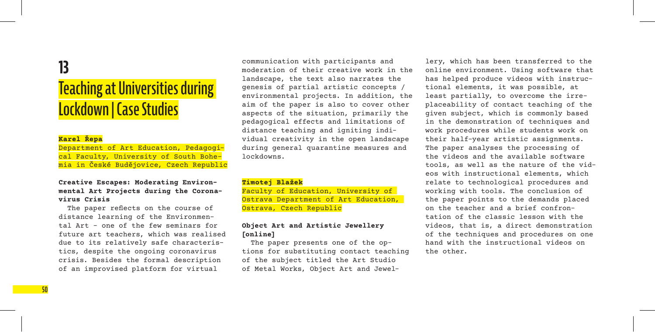## **13**

## **Teaching at Universities during Lockdown |Case Studies**

#### **Karel Řepa**

Department of Art Education, Pedagogical Faculty, University of South Bohemia in České Budějovice, Czech Republic

#### **Creative Escapes: Moderating Environmental Art Projects during the Coronavirus Crisis**

The paper reflects on the course of distance learning of the Environmental Art – one of the few seminars for future art teachers, which was realised due to its relatively safe characteristics, despite the ongoing coronavirus crisis. Besides the formal description of an improvised platform for virtual

communication with participants and moderation of their creative work in the landscape, the text also narrates the genesis of partial artistic concepts / environmental projects. In addition, the aim of the paper is also to cover other aspects of the situation, primarily the pedagogical effects and limitations of distance teaching and igniting individual creativity in the open landscape during general quarantine measures and lockdowns.

#### **Timotej Blažek**

Faculty of Education, University of Ostrava Department of Art Education, Ostrava, Czech Republic

#### **Object Art and Artistic Jewellery [online]**

The paper presents one of the options for substituting contact teaching of the subject titled the Art Studio of Metal Works, Object Art and Jewellery, which has been transferred to the online environment. Using software that has helped produce videos with instructional elements, it was possible, at least partially, to overcome the irreplaceability of contact teaching of the given subject, which is commonly based in the demonstration of techniques and work procedures while students work on their half-year artistic assignments. The paper analyses the processing of the videos and the available software tools, as well as the nature of the videos with instructional elements, which relate to technological procedures and working with tools. The conclusion of the paper points to the demands placed on the teacher and a brief confrontation of the classic lesson with the videos, that is, a direct demonstration of the techniques and procedures on one hand with the instructional videos on the other.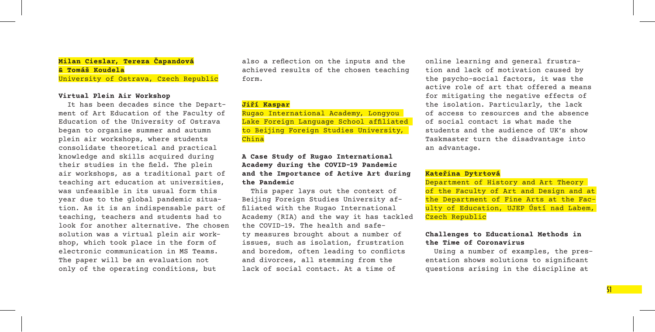#### **Milan Cieslar, Tereza Čapandová & Tomáš Koudela** University of Ostrava, Czech Republic

#### **Virtual Plein Air Workshop**

It has been decades since the Department of Art Education of the Faculty of Education of the University of Ostrava began to organise summer and autumn plein air workshops, where students consolidate theoretical and practical knowledge and skills acquired during their studies in the field. The plein air workshops, as a traditional part of teaching art education at universities, was unfeasible in its usual form this year due to the global pandemic situation. As it is an indispensable part of teaching, teachers and students had to look for another alternative. The chosen solution was a virtual plein air workshop, which took place in the form of electronic communication in MS Teams. The paper will be an evaluation not only of the operating conditions, but

also a reflection on the inputs and the achieved results of the chosen teaching form.

#### **Jiří Kaspar**

Rugao International Academy, Longyou Lake Foreign Language School affiliated to Beijing Foreign Studies University, China

#### **A Case Study of Rugao International Academy during the COVID-19 Pandemic and the Importance of Active Art during the Pandemic**

This paper lays out the context of Beijing Foreign Studies University affiliated with the Rugao International Academy (RIA) and the way it has tackled the COVID-19. The health and safety measures brought about a number of issues, such as isolation, frustration and boredom, often leading to conflicts and divorces, all stemming from the lack of social contact. At a time of

online learning and general frustration and lack of motivation caused by the psycho-social factors, it was the active role of art that offered a means for mitigating the negative effects of the isolation. Particularly, the lack of access to resources and the absence of social contact is what made the students and the audience of UK's show Taskmaster turn the disadvantage into an advantage.

#### **Kateřina Dytrtová**

Department of History and Art Theory of the Faculty of Art and Design and at the Department of Fine Arts at the Faculty of Education, UJEP Ústí nad Labem, Czech Republic

#### **Challenges to Educational Methods in the Time of Coronavirus**

Using a number of examples, the presentation shows solutions to significant questions arising in the discipline at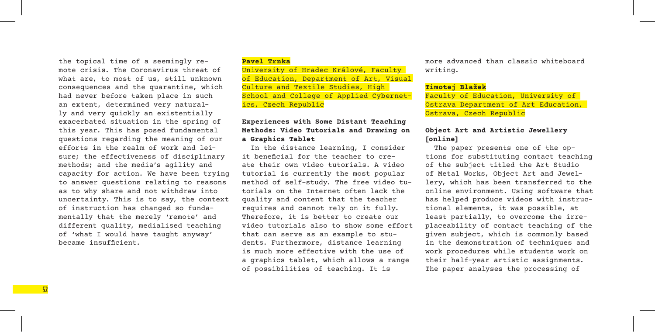the topical time of a seemingly remote crisis. The Coronavirus threat of what are, to most of us, still unknown consequences and the quarantine, which had never before taken place in such an extent, determined very naturally and very quickly an existentially exacerbated situation in the spring of this year. This has posed fundamental questions regarding the meaning of our efforts in the realm of work and leisure; the effectiveness of disciplinary methods; and the media's agility and capacity for action. We have been trying to answer questions relating to reasons as to why share and not withdraw into uncertainty. This is to say, the context of instruction has changed so fundamentally that the merely 'remote' and different quality, medialised teaching of 'what I would have taught anyway' became insufficient.

#### **Pavel Trnka**

University of Hradec Králové, Faculty of Education, Department of Art, Visual Culture and Textile Studies, High School and College of Applied Cybernetics, Czech Republic

#### **Experiences with Some Distant Teaching Methods: Video Tutorials and Drawing on a Graphics Tablet**

In the distance learning, I consider it beneficial for the teacher to create their own video tutorials. A video tutorial is currently the most popular method of self-study. The free video tutorials on the Internet often lack the quality and content that the teacher requires and cannot rely on it fully. Therefore, it is better to create our video tutorials also to show some effort that can serve as an example to students. Furthermore, distance learning is much more effective with the use of a graphics tablet, which allows a range of possibilities of teaching. It is

more advanced than classic whiteboard writing.

#### **Timotej Blažek**

Faculty of Education, University of Ostrava Department of Art Education, Ostrava, Czech Republic

#### **Object Art and Artistic Jewellery [online]**

The paper presents one of the options for substituting contact teaching of the subject titled the Art Studio of Metal Works, Object Art and Jewellery, which has been transferred to the online environment. Using software that has helped produce videos with instructional elements, it was possible, at least partially, to overcome the irreplaceability of contact teaching of the given subject, which is commonly based in the demonstration of techniques and work procedures while students work on their half-year artistic assignments. The paper analyses the processing of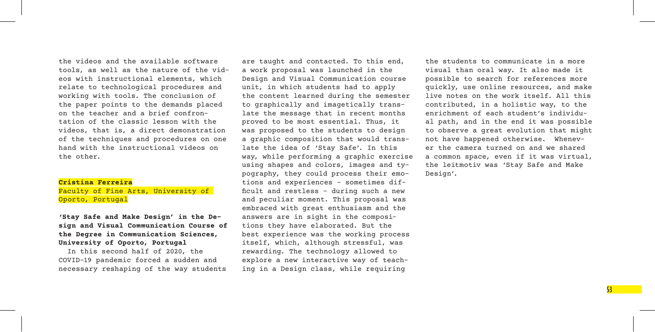the videos and the available software tools, as well as the nature of the videos with instructional elements, which relate to technological procedures and working with tools. The conclusion of the paper points to the demands placed on the teacher and a brief confrontation of the classic lesson with the videos, that is, a direct demonstration of the techniques and procedures on one hand with the instructional videos on the other.

#### **Cristina Ferreira**

Faculty of Fine Arts, University of Oporto, Portugal

#### **'Stay Safe and Make Design' in the Design and Visual Communication Course of the Degree in Communication Sciences, University of Oporto, Portugal**

In this second half of 2020, the COVID-19 pandemic forced a sudden and necessary reshaping of the way students are taught and contacted. To this end, a work proposal was launched in the Design and Visual Communication course unit, in which students had to apply the content learned during the semester to graphically and imagetically translate the message that in recent months proved to be most essential. Thus, it was proposed to the students to design a graphic composition that would translate the idea of 'Stay Safe'. In this way, while performing a graphic exercise using shapes and colors, images and typography, they could process their emotions and experiences – sometimes difficult and restless - during such a new and peculiar moment. This proposal was embraced with great enthusiasm and the answers are in sight in the compositions they have elaborated. But the best experience was the working process itself, which, although stressful, was rewarding. The technology allowed to explore a new interactive way of teaching in a Design class, while requiring

the students to communicate in a more visual than oral way. It also made it possible to search for references more quickly, use online resources, and make live notes on the work itself. All this contributed, in a holistic way, to the enrichment of each student's individual path, and in the end it was possible to observe a great evolution that might not have happened otherwise. Whenever the camera turned on and we shared a common space, even if it was virtual, the leitmotiv was 'Stay Safe and Make Design'.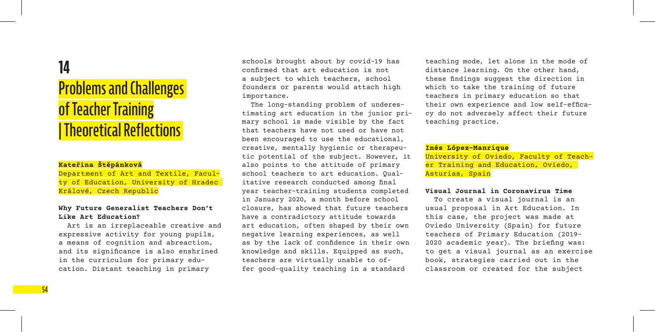## **14**

## **Problems and Challenges ofTeacher Training | Theoretical Reflections**

#### **Kateřina Štěpánková**

Department of Art and Textile, Faculty of Education, University of Hradec Králové, Czech Republic

#### **Why Future Generalist Teachers Don't Like Art Education?**

Art is an irreplaceable creative and expressive activity for young pupils, a means of cognition and abreaction, and its significance is also enshrined in the curriculum for primary education. Distant teaching in primary

schools brought about by covid-19 has confirmed that art education is not a subject to which teachers, school founders or parents would attach high importance.

The long-standing problem of underestimating art education in the junior primary school is made visible by the fact that teachers have not used or have not been encouraged to use the educational, creative, mentally hygienic or therapeutic potential of the subject. However, it also points to the attitude of primary school teachers to art education. Qualitative research conducted among final year teacher-training students completed in January 2020, a month before school closure, has showed that future teachers have a contradictory attitude towards art education, often shaped by their own negative learning experiences, as well as by the lack of confidence in their own knowledge and skills. Equipped as such, teachers are virtually unable to offer good-quality teaching in a standard

teaching mode, let alone in the mode of distance learning. On the other hand, these findings suggest the direction in which to take the training of future teachers in primary education so that their own experience and low self-efficacy do not adversely affect their future teaching practice.

#### **Inés López-Manrique**

University of Oviedo, Faculty of Teacher Training and Education, Oviedo, Asturias, Spain

#### **Visual Journal in Coronavirus Time**

To create a visual journal is an usual proposal in Art Education. In this case, the project was made at Oviedo University (Spain) for future teachers of Primary Education (2019– 2020 academic year). The briefing was: to get a visual journal as an exercise book, strategies carried out in the classroom or created for the subject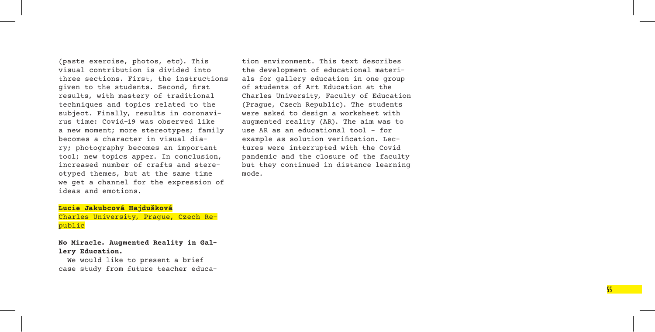(paste exercise, photos, etc). This visual contribution is divided into three sections. First, the instructions given to the students. Second, first results, with mastery of traditional techniques and topics related to the subject. Finally, results in coronavi rus time: Covid-19 was observed like a new moment; more stereotypes; family becomes a character in visual dia ry; photography becomes an important tool; new topics apper. In conclusion, increased number of crafts and stere otyped themes, but at the same time we get a channel for the expression of ideas and emotions.

tion environment. This text describes the development of educational materi als for gallery education in one group of students of Art Education at the Charles University, Faculty of Education (Prague, Czech Republic). The students were asked to design a worksheet with augmented reality (AR). The aim was to use AR as an educational tool – for example as solution verification. Lec tures were interrupted with the Covid pandemic and the closure of the faculty but they continued in distance learning mode.

**Lucie Jakubcová Hajdušková** Charles University, Prague, Czech Re public

**No Miracle. Augmented Reality in Gal lery Education.**

We would like to present a brief case study from future teacher educa -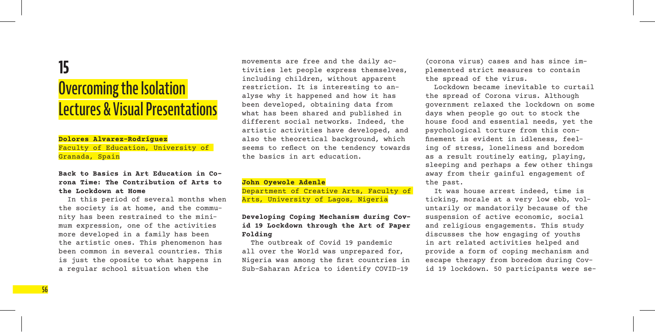## **15**

## **Overcoming the Isolation Lectures & Visual Presentations**

#### **Dolores Alvarez-Rodríguez**

Faculty of Education, University of Granada, Spain

#### **Back to Basics in Art Education in Corona Time: The Contribution of Arts to the Lockdown at Home**

In this period of several months when the society is at home, and the community has been restrained to the minimum expression, one of the activities more developed in a family has been the artistic ones. This phenomenon has been common in several countries. This is just the oposite to what happens in a regular school situation when the

movements are free and the daily activities let people express themselves, including children, without apparent restriction. It is interesting to analyse why it happened and how it has been developed, obtaining data from what has been shared and published in different social networks. Indeed, the artistic activities have developed, and also the theoretical background, which seems to reflect on the tendency towards the basics in art education.

#### **John Oyewole Adenle**

Department of Creative Arts, Faculty of Arts, University of Lagos, Nigeria

#### **Developing Coping Mechanism during Covid 19 Lockdown through the Art of Paper Folding**

The outbreak of Covid 19 pandemic all over the World was unprepared for, Nigeria was among the first countries in Sub-Saharan Africa to identify COVID-19

(corona virus) cases and has since implemented strict measures to contain the spread of the virus.

Lockdown became inevitable to curtail the spread of Corona virus. Although government relaxed the lockdown on some days when people go out to stock the house food and essential needs, yet the psychological torture from this confinement is evident in idleness, feeling of stress, loneliness and boredom as a result routinely eating, playing, sleeping and perhaps a few other things away from their gainful engagement of the past.

It was house arrest indeed, time is ticking, morale at a very low ebb, voluntarily or mandatorily because of the suspension of active economic, social and religious engagements. This study discusses the how engaging of youths in art related activities helped and provide a form of coping mechanism and escape therapy from boredom during Covid 19 lockdown. 50 participants were se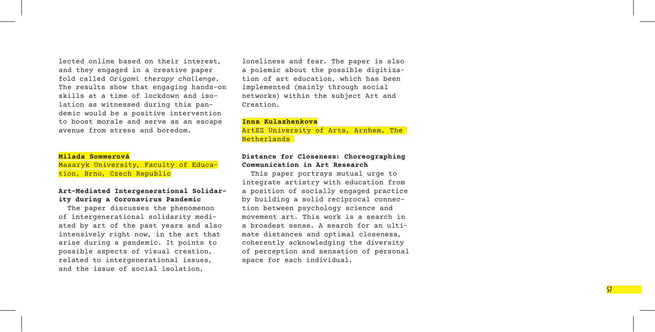lected online based on their interest, and they engaged in a creative paper fold called *Origami therapy challenge*. The results show that engaging hands-on skills at a time of lockdown and iso lation as witnessed during this pan demic would be a positive intervention to boost morale and serve as an escape avenue from stress and boredom.

#### **Milada Sommerová**

Masaryk University, Faculty of Educa tion, Brno, Czech Republic

#### **Art-Mediated Intergenerational Solidar ity during a Coronavirus Pandemic**

The paper discusses the phenomenon of intergenerational solidarity medi ated by art of the past years and also intensively right now, in the art that arise during a pandemic. It points to possible aspects of visual creation, related to intergenerational issues, and the issue of social isolation,

loneliness and fear. The paper is also a polemic about the possible digitization of art education, which has been implemented (mainly through social networks) within the subject Art and Creation.

#### **Inna Kulazhenkova**

ArtEZ University of Arts, Arnhem, The Netherlands

#### **Distance for Closeness: Choreographing Communication in Art Research**

This paper portrays mutual urge to integrate artistry with education from a position of socially engaged practice by building a solid reciprocal connec tion between psychology science and<br>movement art. This work is a search in a broadest sense. A search for an ultimate distances and optimal closeness, coherently acknowledging the diversity of perception and sensation of personal space for each individual.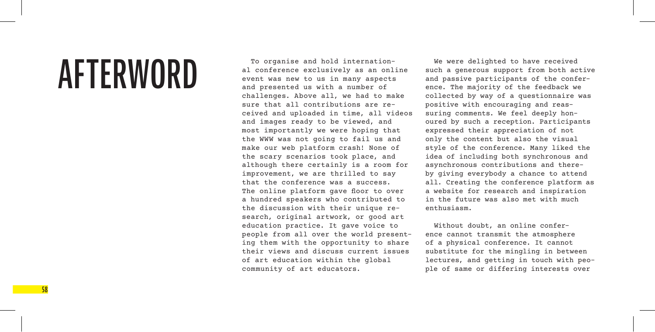# **AFTERWORD**

To organise and hold international conference exclusively as an online event was new to us in many aspects and presented us with a number of challenges. Above all, we had to make sure that all contributions are received and uploaded in time, all videos and images ready to be viewed, and most importantly we were hoping that the WWW was not going to fail us and make our web platform crash! None of the scary scenarios took place, and although there certainly is a room for improvement, we are thrilled to say that the conference was a success. The online platform gave floor to over a hundred speakers who contributed to the discussion with their unique research, original artwork, or good art education practice. It gave voice to people from all over the world presenting them with the opportunity to share their views and discuss current issues of art education within the global community of art educators.

We were delighted to have received such a generous support from both active and passive participants of the conference. The majority of the feedback we collected by way of a questionnaire was positive with encouraging and reassuring comments. We feel deeply honoured by such a reception. Participants expressed their appreciation of not only the content but also the visual style of the conference. Many liked the idea of including both synchronous and asynchronous contributions and thereby giving everybody a chance to attend all. Creating the conference platform as a website for research and inspiration in the future was also met with much enthusiasm.

Without doubt, an online conference cannot transmit the atmosphere of a physical conference. It cannot substitute for the mingling in between lectures, and getting in touch with people of same or differing interests over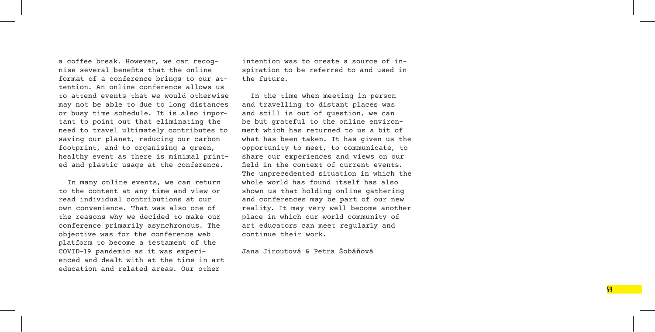a coffee break. However, we can recog nise several benefits that the online format of a conference brings to our at tention. An online conference allows us to attend events that we would otherwise may not be able to due to long distances or busy time schedule. It is also impor tant to point out that eliminating the need to travel ultimately contributes to saving our planet, reducing our carbon footprint, and to organising a green, healthy event as there is minimal print ed and plastic usage at the conference.

In many online events, we can return to the content at any time and view or read individual contributions at our own convenience. That was also one of the reasons why we decided to make our conference primarily asynchronous. The objective was for the conference web platform to become a testament of the COVID-19 pandemic as it was experi enced and dealt with at the time in art education and related areas. Our other

intention was to create a source of in spiration to be referred to and used in the future.

In the time when meeting in person and travelling to distant places was and still is out of question, we can be but grateful to the online environ ment which has returned to us a bit of what has been taken. It has given us the opportunity to meet, to communicate, to share our experiences and views on our field in the context of current events. The unprecedented situation in which the whole world has found itself has also shown us that holding online gathering and conferences may be part of our new reality. It may very well become another place in which our world community of art educators can meet regularly and continue their work.

Jana Jiroutová & Petra Šobáňová